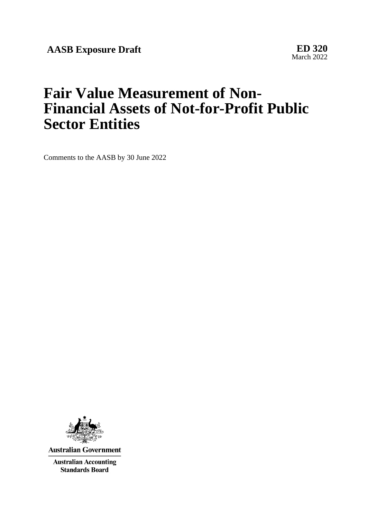**AASB Exposure Draft ED 320**

March 2022

# **Fair Value Measurement of Non-Financial Assets of Not-for-Profit Public Sector Entities**

Comments to the AASB by 30 June 2022



**Australian Government** 

**Australian Accounting Standards Board**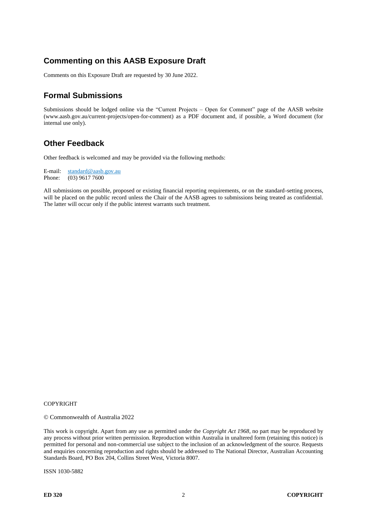# **Commenting on this AASB Exposure Draft**

Comments on this Exposure Draft are requested by 30 June 2022.

# **Formal Submissions**

Submissions should be lodged online via the "Current Projects – Open for Comment" page of the AASB website (www.aasb.gov.au/current-projects/open-for-comment) as a PDF document and, if possible, a Word document (for internal use only).

# **Other Feedback**

Other feedback is welcomed and may be provided via the following methods:

E-mail: standard@aasb.gov.au Phone: (03) 9617 7600

All submissions on possible, proposed or existing financial reporting requirements, or on the standard-setting process, will be placed on the public record unless the Chair of the AASB agrees to submissions being treated as confidential. The latter will occur only if the public interest warrants such treatment.

#### COPYRIGHT

© Commonwealth of Australia 2022

This work is copyright. Apart from any use as permitted under the *Copyright Act 1968*, no part may be reproduced by any process without prior written permission. Reproduction within Australia in unaltered form (retaining this notice) is permitted for personal and non-commercial use subject to the inclusion of an acknowledgment of the source. Requests and enquiries concerning reproduction and rights should be addressed to The National Director, Australian Accounting Standards Board, PO Box 204, Collins Street West, Victoria 8007.

ISSN 1030-5882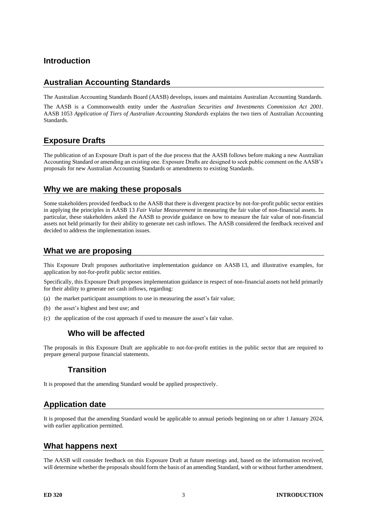### **Introduction**

# **Australian Accounting Standards**

The Australian Accounting Standards Board (AASB) develops, issues and maintains Australian Accounting Standards.

The AASB is a Commonwealth entity under the *Australian Securities and Investments Commission Act 2001*. AASB 1053 *Application of Tiers of Australian Accounting Standards* explains the two tiers of Australian Accounting Standards.

# **Exposure Drafts**

The publication of an Exposure Draft is part of the due process that the AASB follows before making a new Australian Accounting Standard or amending an existing one. Exposure Drafts are designed to seek public comment on the AASB's proposals for new Australian Accounting Standards or amendments to existing Standards.

#### **Why we are making these proposals**

Some stakeholders provided feedback to the AASB that there is divergent practice by not-for-profit public sector entities in applying the principles in AASB 13 *Fair Value Measurement* in measuring the fair value of non-financial assets. In particular, these stakeholders asked the AASB to provide guidance on how to measure the fair value of non-financial assets not held primarily for their ability to generate net cash inflows. The AASB considered the feedback received and decided to address the implementation issues.

### **What we are proposing**

This Exposure Draft proposes authoritative implementation guidance on AASB 13, and illustrative examples, for application by not-for-profit public sector entities.

Specifically, this Exposure Draft proposes implementation guidance in respect of non-financial assets not held primarily for their ability to generate net cash inflows, regarding:

- (a) the market participant assumptions to use in measuring the asset's fair value;
- (b) the asset's highest and best use; and
- (c) the application of the cost approach if used to measure the asset's fair value.

# **Who will be affected**

The proposals in this Exposure Draft are applicable to not-for-profit entities in the public sector that are required to prepare general purpose financial statements.

### **Transition**

It is proposed that the amending Standard would be applied prospectively.

### **Application date**

It is proposed that the amending Standard would be applicable to annual periods beginning on or after 1 January 2024, with earlier application permitted.

### **What happens next**

The AASB will consider feedback on this Exposure Draft at future meetings and, based on the information received, will determine whether the proposals should form the basis of an amending Standard, with or without further amendment.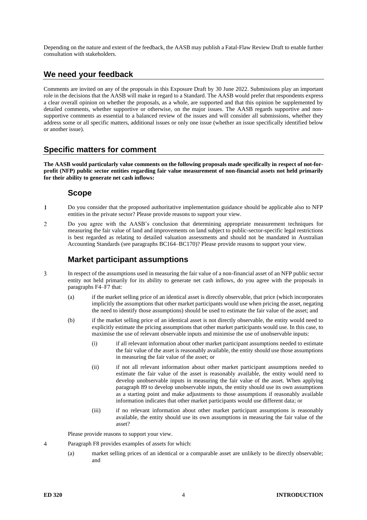Depending on the nature and extent of the feedback, the AASB may publish a Fatal-Flaw Review Draft to enable further consultation with stakeholders.

### **We need your feedback**

Comments are invited on any of the proposals in this Exposure Draft by 30 June 2022. Submissions play an important role in the decisions that the AASB will make in regard to a Standard. The AASB would prefer that respondents express a clear overall opinion on whether the proposals, as a whole, are supported and that this opinion be supplemented by detailed comments, whether supportive or otherwise, on the major issues. The AASB regards supportive and nonsupportive comments as essential to a balanced review of the issues and will consider all submissions, whether they address some or all specific matters, additional issues or only one issue (whether an issue specifically identified below or another issue).

# **Specific matters for comment**

**The AASB would particularly value comments on the following proposals made specifically in respect of not-forprofit (NFP) public sector entities regarding fair value measurement of non-financial assets not held primarily for their ability to generate net cash inflows:**

#### **Scope**

- $\mathbf{1}$ Do you consider that the proposed authoritative implementation guidance should be applicable also to NFP entities in the private sector? Please provide reasons to support your view.
- $\overline{\mathcal{L}}$ Do you agree with the AASB's conclusion that determining appropriate measurement techniques for measuring the fair value of land and improvements on land subject to public-sector-specific legal restrictions is best regarded as relating to detailed valuation assessments and should not be mandated in Australian Accounting Standards (see paragraphs [BC164](#page-38-0)[–BC170\)](#page-39-0)? Please provide reasons to support your view.

# **Market participant assumptions**

- 3 In respect of the assumptions used in measuring the fair value of a non-financial asset of an NFP public sector entity not held primarily for its ability to generate net cash inflows, do you agree with the proposals in paragraphs [F4](#page-10-0)[–F7](#page-10-1) that:
	- (a) if the market selling price of an identical asset is directly observable, that price (which incorporates implicitly the assumptions that other market participants would use when pricing the asset, negating the need to identify those assumptions) should be used to estimate the fair value of the asset; and
	- (b) if the market selling price of an identical asset is not directly observable, the entity would need to explicitly estimate the pricing assumptions that other market participants would use. In this case, to maximise the use of relevant observable inputs and minimise the use of unobservable inputs:
		- (i) if all relevant information about other market participant assumptions needed to estimate the fair value of the asset is reasonably available, the entity should use those assumptions in measuring the fair value of the asset; or
		- (ii) if not all relevant information about other market participant assumptions needed to estimate the fair value of the asset is reasonably available, the entity would need to develop unobservable inputs in measuring the fair value of the asset. When applying paragraph 89 to develop unobservable inputs, the entity should use its own assumptions as a starting point and make adjustments to those assumptions if reasonably available information indicates that other market participants would use different data; or
		- (iii) if no relevant information about other market participant assumptions is reasonably available, the entity should use its own assumptions in measuring the fair value of the asset?

Please provide reasons to support your view.

- $\overline{4}$ Paragraph [F8](#page-11-0) provides examples of assets for which:
	- (a) market selling prices of an identical or a comparable asset are unlikely to be directly observable; and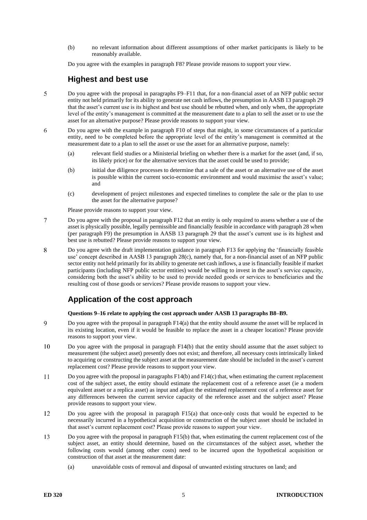(b) no relevant information about different assumptions of other market participants is likely to be reasonably available.

Do you agree with the examples in paragraph [F8?](#page-11-0) Please provide reasons to support your view.

#### **Highest and best use**

- 5 Do you agree with the proposal in paragraphs [F9](#page-11-1)[–F11](#page-11-2) that, for a non-financial asset of an NFP public sector entity not held primarily for its ability to generate net cash inflows, the presumption in AASB 13 paragraph 29 that the asset's current use is its highest and best use should be rebutted when, and only when, the appropriate level of the entity's management is committed at the measurement date to a plan to sell the asset or to use the asset for an alternative purpose? Please provide reasons to support your view.
- 6 Do you agree with the example in paragraph [F10](#page-11-3) of steps that might, in some circumstances of a particular entity, need to be completed before the appropriate level of the entity's management is committed at the measurement date to a plan to sell the asset or use the asset for an alternative purpose, namely:
	- (a) relevant field studies or a Ministerial briefing on whether there is a market for the asset (and, if so, its likely price) or for the alternative services that the asset could be used to provide;
	- (b) initial due diligence processes to determine that a sale of the asset or an alternative use of the asset is possible within the current socio-economic environment and would maximise the asset's value; and
	- (c) development of project milestones and expected timelines to complete the sale or the plan to use the asset for the alternative purpose?

Please provide reasons to support your view.

- $\overline{7}$ Do you agree with the proposal in paragraph [F12](#page-11-4) that an entity is only required to assess whether a use of the asset is physically possible, legally permissible and financially feasible in accordance with paragraph 28 when (per paragraph [F9\)](#page-11-1) the presumption in AASB 13 paragraph 29 that the asset's current use is its highest and best use is rebutted? Please provide reasons to support your view.
- 8 Do you agree with the draft implementation guidance in paragraph [F13](#page-11-5) for applying the 'financially feasible use' concept described in AASB 13 paragraph 28(c), namely that, for a non-financial asset of an NFP public sector entity not held primarily for its ability to generate net cash inflows, a use is financially feasible if market participants (including NFP public sector entities) would be willing to invest in the asset's service capacity, considering both the asset's ability to be used to provide needed goods or services to beneficiaries and the resulting cost of those goods or services? Please provide reasons to support your view.

# **Application of the cost approach**

**Question[s 9](#page-4-0)[–16](#page-5-0) relate to applying the cost approach under AASB 13 paragraphs B8–B9.**

- <span id="page-4-0"></span> $\overline{Q}$ Do you agree with the proposal in paragrap[h F14\(](#page-11-6)a) that the entity should assume the asset will be replaced in its existing location, even if it would be feasible to replace the asset in a cheaper location? Please provide reasons to support your view.
- 10 Do you agree with the proposal in paragraph [F14\(](#page-11-6)b) that the entity should assume that the asset subject to measurement (the subject asset) presently does not exist; and therefore, all necessary costs intrinsically linked to acquiring or constructing the subject asset at the measurement date should be included in the asset's current replacement cost? Please provide reasons to support your view.
- Do you agree with the proposal in paragraphs  $F14(b)$  and  $F14(c)$  that, when estimating the current replacement  $11$ cost of the subject asset, the entity should estimate the replacement cost of a reference asset (ie a modern equivalent asset or a replica asset) as input and adjust the estimated replacement cost of a reference asset for any differences between the current service capacity of the reference asset and the subject asset? Please provide reasons to support your view.
- 12 Do you agree with the proposal in paragraph [F15\(](#page-12-0)a) that once-only costs that would be expected to be necessarily incurred in a hypothetical acquisition or construction of the subject asset should be included in that asset's current replacement cost? Please provide reasons to support your view.
- 13 Do you agree with the proposal in paragrap[h F15\(](#page-12-0)b) that, when estimating the current replacement cost of the subject asset, an entity should determine, based on the circumstances of the subject asset, whether the following costs would (among other costs) need to be incurred upon the hypothetical acquisition or construction of that asset at the measurement date:
	- (a) unavoidable costs of removal and disposal of unwanted existing structures on land; and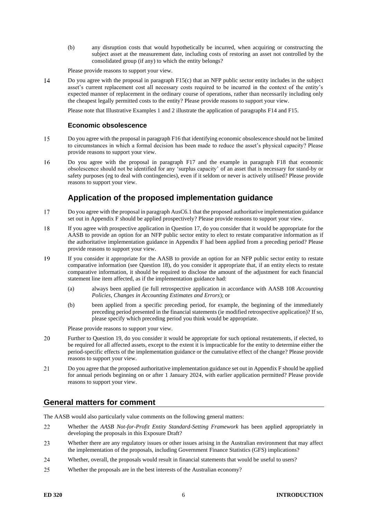(b) any disruption costs that would hypothetically be incurred, when acquiring or constructing the subject asset at the measurement date, including costs of restoring an asset not controlled by the consolidated group (if any) to which the entity belongs?

Please provide reasons to support your view.

 $14$ Do you agree with the proposal in paragraph [F15\(](#page-12-0)c) that an NFP public sector entity includes in the subject asset's current replacement cost all necessary costs required to be incurred in the context of the entity's expected manner of replacement in the ordinary course of operations, rather than necessarily including only the cheapest legally permitted costs to the entity? Please provide reasons to support your view.

Please note that Illustrative Examples 1 and 2 illustrate the application of paragraphs [F14](#page-11-6) an[d F15.](#page-12-0)

#### **Economic obsolescence**

- 15 Do you agree with the proposal in paragrap[h F16](#page-12-1) that identifying economic obsolescence should not be limited to circumstances in which a formal decision has been made to reduce the asset's physical capacity? Please provide reasons to support your view.
- <span id="page-5-0"></span>16 Do you agree with the proposal in paragraph [F17](#page-12-2) and the example in paragraph [F18](#page-12-3) that economic obsolescence should not be identified for any 'surplus capacity' of an asset that is necessary for stand-by or safety purposes (eg to deal with contingencies), even if it seldom or never is actively utilised? Please provide reasons to support your view.

### **Application of the proposed implementation guidance**

- <span id="page-5-1"></span>17 Do you agree with the proposal in paragraph AusC6.1 that the proposed authoritative implementation guidance set out in Appendix F should be applied prospectively? Please provide reasons to support your view.
- <span id="page-5-2"></span>If you agree with prospective application in Questio[n 17,](#page-5-1) do you consider that it would be appropriate for the 18 AASB to provide an option for an NFP public sector entity to elect to restate comparative information as if the authoritative implementation guidance in Appendix F had been applied from a preceding period? Please provide reasons to support your view.
- <span id="page-5-3"></span>19 If you consider it appropriate for the AASB to provide an option for an NFP public sector entity to restate comparative information (see Question [18\)](#page-5-2), do you consider it appropriate that, if an entity elects to restate comparative information, it should be required to disclose the amount of the adjustment for each financial statement line item affected, as if the implementation guidance had:
	- (a) always been applied (ie full retrospective application in accordance with AASB 108 *Accounting Policies, Changes in Accounting Estimates and Errors*); or
	- (b) been applied from a specific preceding period, for example, the beginning of the immediately preceding period presented in the financial statements (ie modified retrospective application)? If so, please specify which preceding period you think would be appropriate.

Please provide reasons to support your view.

- <span id="page-5-4"></span>20 Further to Question [19,](#page-5-3) do you consider it would be appropriate for such optional restatements, if elected, to be required for all affected assets, except to the extent it is impracticable for the entity to determine either the period-specific effects of the implementation guidance or the cumulative effect of the change? Please provide reasons to support your view.
- 21 Do you agree that the proposed authoritative implementation guidance set out in Appendix F should be applied for annual periods beginning on or after 1 January 2024, with earlier application permitted? Please provide reasons to support your view.

### **General matters for comment**

The AASB would also particularly value comments on the following general matters:

- 22 Whether the *AASB Not-for-Profit Entity Standard-Setting Framework* has been applied appropriately in developing the proposals in this Exposure Draft?
- 23 Whether there are any regulatory issues or other issues arising in the Australian environment that may affect the implementation of the proposals, including Government Finance Statistics (GFS) implications?
- 24 Whether, overall, the proposals would result in financial statements that would be useful to users?
- 25 Whether the proposals are in the best interests of the Australian economy?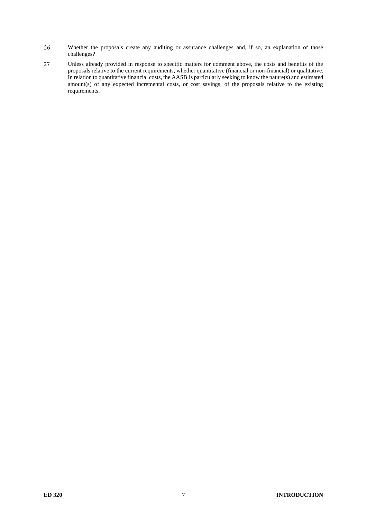- 26 Whether the proposals create any auditing or assurance challenges and, if so, an explanation of those challenges?
- 27 Unless already provided in response to specific matters for comment above, the costs and benefits of the proposals relative to the current requirements, whether quantitative (financial or non-financial) or qualitative. In relation to quantitative financial costs, the AASB is particularly seeking to know the nature(s) and estimated amount(s) of any expected incremental costs, or cost savings, of the proposals relative to the existing requirements.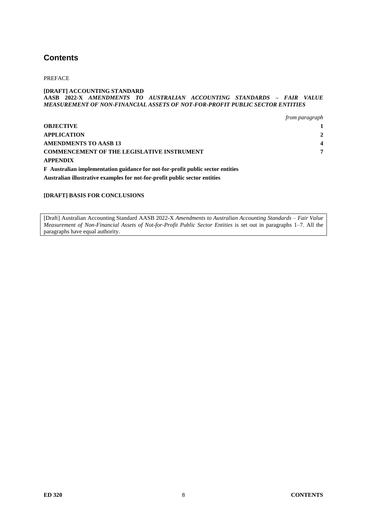# **Contents**

PREFACE

#### **[DRAFT] ACCOUNTING STANDARD AASB 2022-X** *AMENDMENTS TO AUSTRALIAN ACCOUNTING STANDARDS – FAIR VALUE MEASUREMENT OF NON-FINANCIAL ASSETS OF NOT-FOR-PROFIT PUBLIC SECTOR ENTITIES*

|                                                                                       | from paragraph |
|---------------------------------------------------------------------------------------|----------------|
| <b>OBJECTIVE</b>                                                                      |                |
| APPLICATION                                                                           |                |
| AMENDMENTS TO AASB 13                                                                 | $\Delta$       |
| <b>COMMENCEMENT OF THE LEGISLATIVE INSTRUMENT</b>                                     | 7              |
| <b>APPENDIX</b>                                                                       |                |
| <b>F</b> Australian implementation guidance for not-for-profit public sector entities |                |
|                                                                                       |                |

**Australian illustrative examples for not-for-profit public sector entities**

#### **[DRAFT] BASIS FOR CONCLUSIONS**

[Draft] Australian Accounting Standard AASB 2022-X *Amendments to Australian Accounting Standards – Fair Value Measurement of Non-Financial Assets of Not-for-Profit Public Sector Entities* is set out in paragraphs 1–7. All the paragraphs have equal authority.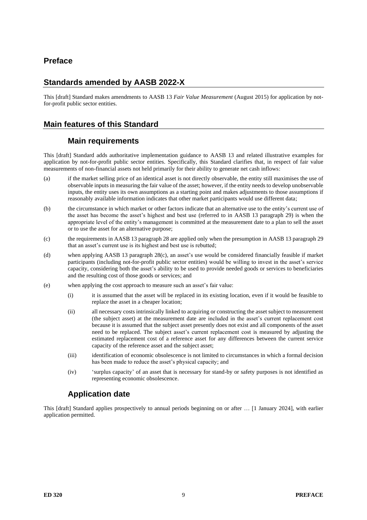# **Preface**

# **Standards amended by AASB 2022-X**

This [draft] Standard makes amendments to AASB 13 *Fair Value Measurement* (August 2015) for application by notfor-profit public sector entities.

### **Main features of this Standard**

#### **Main requirements**

This [draft] Standard adds authoritative implementation guidance to AASB 13 and related illustrative examples for application by not-for-profit public sector entities. Specifically, this Standard clarifies that, in respect of fair value measurements of non-financial assets not held primarily for their ability to generate net cash inflows:

- (a) if the market selling price of an identical asset is not directly observable, the entity still maximises the use of observable inputs in measuring the fair value of the asset; however, if the entity needs to develop unobservable inputs, the entity uses its own assumptions as a starting point and makes adjustments to those assumptions if reasonably available information indicates that other market participants would use different data;
- (b) the circumstance in which market or other factors indicate that an alternative use to the entity's current use of the asset has become the asset's highest and best use (referred to in AASB 13 paragraph 29) is when the appropriate level of the entity's management is committed at the measurement date to a plan to sell the asset or to use the asset for an alternative purpose;
- (c) the requirements in AASB 13 paragraph 28 are applied only when the presumption in AASB 13 paragraph 29 that an asset's current use is its highest and best use is rebutted;
- (d) when applying AASB 13 paragraph 28(c), an asset's use would be considered financially feasible if market participants (including not-for-profit public sector entities) would be willing to invest in the asset's service capacity, considering both the asset's ability to be used to provide needed goods or services to beneficiaries and the resulting cost of those goods or services; and
- (e) when applying the cost approach to measure such an asset's fair value:
	- (i) it is assumed that the asset will be replaced in its existing location, even if it would be feasible to replace the asset in a cheaper location;
	- (ii) all necessary costs intrinsically linked to acquiring or constructing the asset subject to measurement (the subject asset) at the measurement date are included in the asset's current replacement cost because it is assumed that the subject asset presently does not exist and all components of the asset need to be replaced. The subject asset's current replacement cost is measured by adjusting the estimated replacement cost of a reference asset for any differences between the current service capacity of the reference asset and the subject asset;
	- (iii) identification of economic obsolescence is not limited to circumstances in which a formal decision has been made to reduce the asset's physical capacity; and
	- (iv) 'surplus capacity' of an asset that is necessary for stand-by or safety purposes is not identified as representing economic obsolescence.

# **Application date**

This [draft] Standard applies prospectively to annual periods beginning on or after … [1 January 2024], with earlier application permitted.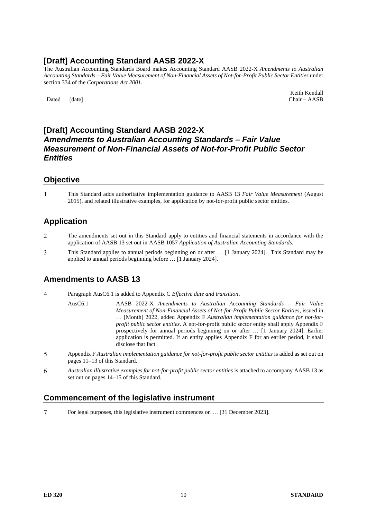# **[Draft] Accounting Standard AASB 2022-X**

The Australian Accounting Standards Board makes Accounting Standard AASB 2022-X *Amendments to Australian Accounting Standards – Fair Value Measurement of Non-Financial Assets of Not-for-Profit Public Sector Entities* under section 334 of the *Corporations Act 2001*.

Dated ... [date]

Keith Kendall<br>Chair – AASB

# **[Draft] Accounting Standard AASB 2022-X** *Amendments to Australian Accounting Standards – Fair Value Measurement of Non-Financial Assets of Not-for-Profit Public Sector Entities*

#### **Objective**

 $\mathbf{1}$ This Standard adds authoritative implementation guidance to AASB 13 *Fair Value Measurement* (August 2015), and related illustrative examples, for application by not-for-profit public sector entities.

#### **Application**

- $\overline{2}$ The amendments set out in this Standard apply to entities and financial statements in accordance with the application of AASB 13 set out in AASB 1057 *Application of Australian Accounting Standards.*
- 3 This Standard applies to annual periods beginning on or after … [1 January 2024]. This Standard may be applied to annual periods beginning before … [1 January 2024].

# **Amendments to AASB 13**

 $\overline{4}$ Paragraph AusC6.1 is added to Appendix C *Effective date and transition*.

> AusC6.1 AASB 2022-X *Amendments to Australian Accounting Standards – Fair Value Measurement of Non-Financial Assets of Not-for-Profit Public Sector Entities*, issued in … [Month] 2022, added Appendix F *Australian implementation guidance for not-forprofit public sector entities*. A not-for-profit public sector entity shall apply Appendix F prospectively for annual periods beginning on or after … [1 January 2024]. Earlier application is permitted. If an entity applies Appendix F for an earlier period, it shall disclose that fact.

- 5 Appendix F *Australian implementation guidance for not-for-profit public sector entities* is added as set out on pages 11–13 of this Standard.
- 6 *Australian illustrative examples for not-for-profit public sector entities* is attached to accompany AASB 13 as set out on pages 14–15 of this Standard.

### **Commencement of the legislative instrument**

 $\tau$ For legal purposes, this legislative instrument commences on … [31 December 2023].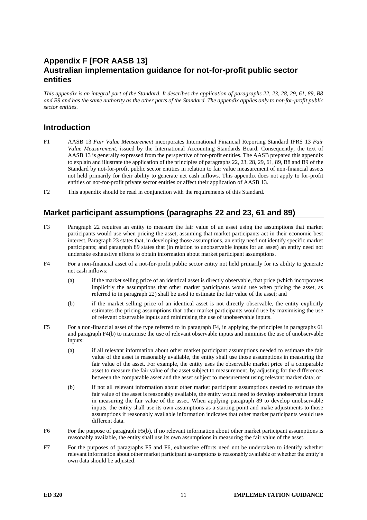# **Appendix F [FOR AASB 13] Australian implementation guidance for not-for-profit public sector entities**

*This appendix is an integral part of the Standard. It describes the application of paragraphs 22, 23, 28, 29, 61, 89, B8 and B9 and has the same authority as the other parts of the Standard. The appendix applies only to not-for-profit public sector entities.*

#### **Introduction**

- F1 AASB 13 *Fair Value Measurement* incorporates International Financial Reporting Standard IFRS 13 *Fair Value Measurement*, issued by the International Accounting Standards Board. Consequently, the text of AASB 13 is generally expressed from the perspective of for-profit entities. The AASB prepared this appendix to explain and illustrate the application of the principles of paragraphs 22, 23, 28, 29, 61, 89, B8 and B9 of the Standard by not-for-profit public sector entities in relation to fair value measurement of non-financial assets not held primarily for their ability to generate net cash inflows. This appendix does not apply to for-profit entities or not-for-profit private sector entities or affect their application of AASB 13.
- F2 This appendix should be read in conjunction with the requirements of this Standard.

#### **Market participant assumptions (paragraphs 22 and 23, 61 and 89)**

- <span id="page-10-4"></span>F3 Paragraph 22 requires an entity to measure the fair value of an asset using the assumptions that market participants would use when pricing the asset, assuming that market participants act in their economic best interest. Paragraph 23 states that, in developing those assumptions, an entity need not identify specific market participants; and paragraph 89 states that (in relation to unobservable inputs for an asset) an entity need not undertake exhaustive efforts to obtain information about market participant assumptions.
- <span id="page-10-0"></span>F4 For a non-financial asset of a not-for-profit public sector entity not held primarily for its ability to generate net cash inflows:
	- (a) if the market selling price of an identical asset is directly observable, that price (which incorporates implicitly the assumptions that other market participants would use when pricing the asset, as referred to in paragraph 22) shall be used to estimate the fair value of the asset; and
	- (b) if the market selling price of an identical asset is not directly observable, the entity explicitly estimates the pricing assumptions that other market participants would use by maximising the use of relevant observable inputs and minimising the use of unobservable inputs.
- <span id="page-10-2"></span>F5 For a non-financial asset of the type referred to in paragraph [F4,](#page-10-0) in applying the principles in paragraphs 61 and paragrap[h F4\(](#page-10-0)b) to maximise the use of relevant observable inputs and minimise the use of unobservable inputs:
	- (a) if all relevant information about other market participant assumptions needed to estimate the fair value of the asset is reasonably available, the entity shall use those assumptions in measuring the fair value of the asset. For example, the entity uses the observable market price of a comparable asset to measure the fair value of the asset subject to measurement, by adjusting for the differences between the comparable asset and the asset subject to measurement using relevant market data; or
	- (b) if not all relevant information about other market participant assumptions needed to estimate the fair value of the asset is reasonably available, the entity would need to develop unobservable inputs in measuring the fair value of the asset. When applying paragraph 89 to develop unobservable inputs, the entity shall use its own assumptions as a starting point and make adjustments to those assumptions if reasonably available information indicates that other market participants would use different data.
- <span id="page-10-3"></span>F6 For the purpose of paragraph [F5\(](#page-10-2)b), if no relevant information about other market participant assumptions is reasonably available, the entity shall use its own assumptions in measuring the fair value of the asset.
- <span id="page-10-1"></span>F7 For the purposes of paragraphs [F5](#page-10-2) and [F6,](#page-10-3) exhaustive efforts need not be undertaken to identify whether relevant information about other market participant assumptions is reasonably available or whether the entity's own data should be adjusted.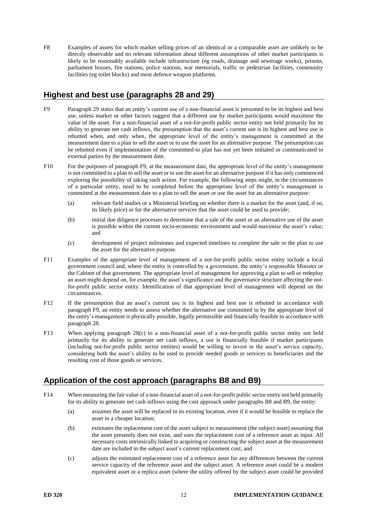<span id="page-11-0"></span>F8 Examples of assets for which market selling prices of an identical or a comparable asset are unlikely to be directly observable and no relevant information about different assumptions of other market participants is likely to be reasonably available include infrastructure (eg roads, drainage and sewerage works), prisons, parliament houses, fire stations, police stations, war memorials, traffic or pedestrian facilities, community facilities (eg toilet blocks) and most defence weapon platforms.

# **Highest and best use (paragraphs 28 and 29)**

- <span id="page-11-1"></span>F9 Paragraph 29 states that an entity's current use of a non-financial asset is presumed to be its highest and best use, unless market or other factors suggest that a different use by market participants would maximise the value of the asset. For a non-financial asset of a not-for-profit public sector entity not held primarily for its ability to generate net cash inflows, the presumption that the asset's current use is its highest and best use is rebutted when, and only when, the appropriate level of the entity's management is committed at the measurement date to a plan to sell the asset or to use the asset for an alternative purpose. The presumption can be rebutted even if implementation of the committed-to plan has not yet been initiated or communicated to external parties by the measurement date.
- <span id="page-11-3"></span>F10 For the purposes of paragraph F9, at the measurement date, the appropriate level of the entity's management is not committed to a plan to sell the asset or to use the asset for an alternative purpose if it has only commenced exploring the possibility of taking such action. For example, the following steps might, in the circumstances of a particular entity, need to be completed before the appropriate level of the entity's management is committed at the measurement date to a plan to sell the asset or use the asset for an alternative purpose:
	- (a) relevant field studies or a Ministerial briefing on whether there is a market for the asset (and, if so, its likely price) or for the alternative services that the asset could be used to provide;
	- (b) initial due diligence processes to determine that a sale of the asset or an alternative use of the asset is possible within the current socio-economic environment and would maximise the asset's value; and
	- (c) development of project milestones and expected timelines to complete the sale or the plan to use the asset for the alternative purpose.
- <span id="page-11-2"></span>F11 Examples of the appropriate level of management of a not-for-profit public sector entity include a local government council and, where the entity is controlled by a government, the entity's responsible Minister or the Cabinet of that government. The appropriate level of management for approving a plan to sell or redeploy an asset might depend on, for example, the asset's significance and the governance structure affecting the notfor-profit public sector entity. Identification of that appropriate level of management will depend on the circumstances.
- <span id="page-11-4"></span>F12 If the presumption that an asset's current use is its highest and best use is rebutted in accordance with paragraph [F9,](#page-11-1) an entity needs to assess whether the alternative use committed to by the appropriate level of the entity's management is physically possible, legally permissible and financially feasible in accordance with paragraph 28.
- <span id="page-11-5"></span>F13 When applying paragraph 28(c) to a non-financial asset of a not-for-profit public sector entity not held primarily for its ability to generate net cash inflows, a use is financially feasible if market participants (including not-for-profit public sector entities) would be willing to invest in the asset's service capacity, considering both the asset's ability to be used to provide needed goods or services to beneficiaries and the resulting cost of those goods or services.

# <span id="page-11-7"></span>**Application of the cost approach (paragraphs B8 and B9)**

- <span id="page-11-6"></span>F14 When measuring the fair value of a non-financial asset of a not-for-profit public sector entity not held primarily for its ability to generate net cash inflows using the cost approach under paragraphs B8 and B9, the entity:
	- (a) assumes the asset will be replaced in its existing location, even if it would be feasible to replace the asset in a cheaper location;
	- (b) estimates the replacement cost of the asset subject to measurement (the subject asset) assuming that the asset presently does not exist, and uses the replacement cost of a reference asset as input. All necessary costs intrinsically linked to acquiring or constructing the subject asset at the measurement date are included in the subject asset's current replacement cost; and
	- (c) adjusts the estimated replacement cost of a reference asset for any differences between the current service capacity of the reference asset and the subject asset. A reference asset could be a modern equivalent asset or a replica asset (where the utility offered by the subject asset could be provided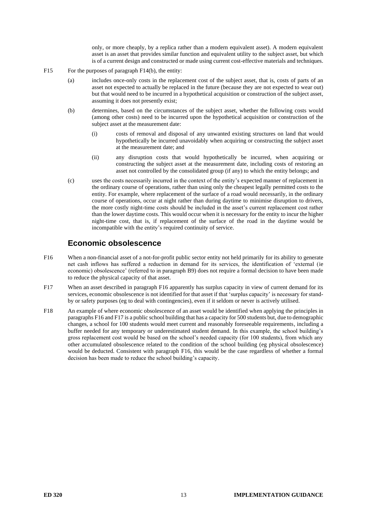only, or more cheaply, by a replica rather than a modern equivalent asset). A modern equivalent asset is an asset that provides similar function and equivalent utility to the subject asset, but which is of a current design and constructed or made using current cost-effective materials and techniques.

- <span id="page-12-0"></span>F15 For the purposes of paragrap[h F14\(](#page-11-6)b), the entity:
	- (a) includes once-only costs in the replacement cost of the subject asset, that is, costs of parts of an asset not expected to actually be replaced in the future (because they are not expected to wear out) but that would need to be incurred in a hypothetical acquisition or construction of the subject asset, assuming it does not presently exist;
	- (b) determines, based on the circumstances of the subject asset, whether the following costs would (among other costs) need to be incurred upon the hypothetical acquisition or construction of the subject asset at the measurement date:
		- (i) costs of removal and disposal of any unwanted existing structures on land that would hypothetically be incurred unavoidably when acquiring or constructing the subject asset at the measurement date; and
		- (ii) any disruption costs that would hypothetically be incurred, when acquiring or constructing the subject asset at the measurement date, including costs of restoring an asset not controlled by the consolidated group (if any) to which the entity belongs; and
	- (c) uses the costs necessarily incurred in the context of the entity's expected manner of replacement in the ordinary course of operations, rather than using only the cheapest legally permitted costs to the entity. For example, where replacement of the surface of a road would necessarily, in the ordinary course of operations, occur at night rather than during daytime to minimise disruption to drivers, the more costly night-time costs should be included in the asset's current replacement cost rather than the lower daytime costs. This would occur when it is necessary for the entity to incur the higher night-time cost, that is, if replacement of the surface of the road in the daytime would be incompatible with the entity's required continuity of service.

#### **Economic obsolescence**

- <span id="page-12-1"></span>F16 When a non-financial asset of a not-for-profit public sector entity not held primarily for its ability to generate net cash inflows has suffered a reduction in demand for its services, the identification of 'external (ie economic) obsolescence' (referred to in paragraph B9) does not require a formal decision to have been made to reduce the physical capacity of that asset.
- <span id="page-12-2"></span>F17 When an asset described in paragraph [F16](#page-12-1) apparently has surplus capacity in view of current demand for its services, economic obsolescence is not identified for that asset if that 'surplus capacity' is necessary for standby or safety purposes (eg to deal with contingencies), even if it seldom or never is actively utilised.
- <span id="page-12-3"></span>F18 An example of where economic obsolescence of an asset would be identified when applying the principles in paragraph[s F16](#page-12-1) an[d F17](#page-12-2) is a public school building that has a capacity for 500 students but, due to demographic changes, a school for 100 students would meet current and reasonably foreseeable requirements, including a buffer needed for any temporary or underestimated student demand. In this example, the school building's gross replacement cost would be based on the school's needed capacity (for 100 students), from which any other accumulated obsolescence related to the condition of the school building (eg physical obsolescence) would be deducted. Consistent with paragraph [F16,](#page-12-1) this would be the case regardless of whether a formal decision has been made to reduce the school building's capacity.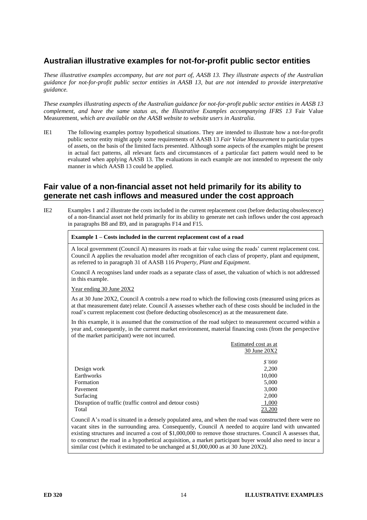# **Australian illustrative examples for not-for-profit public sector entities**

*These illustrative examples accompany, but are not part of, AASB 13. They illustrate aspects of the Australian guidance for not-for-profit public sector entities in AASB 13, but are not intended to provide interpretative guidance.*

*These examples illustrating aspects of the Australian guidance for not-for-profit public sector entities in AASB 13 complement, and have the same status as, the Illustrative Examples accompanying IFRS 13* Fair Value Measurement*, which are available on the AASB website to website users in Australia.*

IE1 The following examples portray hypothetical situations. They are intended to illustrate how a not-for-profit public sector entity might apply some requirements of AASB 13 *Fair Value Measurement* to particular types of assets, on the basis of the limited facts presented. Although some aspects of the examples might be present in actual fact patterns, all relevant facts and circumstances of a particular fact pattern would need to be evaluated when applying AASB 13. The evaluations in each example are not intended to represent the only manner in which AASB 13 could be applied.

#### **Fair value of a non-financial asset not held primarily for its ability to generate net cash inflows and measured under the cost approach**

IE2 Examples 1 and 2 illustrate the costs included in the current replacement cost (before deducting obsolescence) of a non-financial asset not held primarily for its ability to generate net cash inflows under the cost approach in paragraphs B8 and B9, and in paragraphs [F14](#page-11-6) and [F15.](#page-12-0)

#### **Example 1 – Costs included in the current replacement cost of a road**

A local government (Council A) measures its roads at fair value using the roads' current replacement cost. Council A applies the revaluation model after recognition of each class of property, plant and equipment, as referred to in paragraph 31 of AASB 116 *Property, Plant and Equipment*.

Council A recognises land under roads as a separate class of asset, the valuation of which is not addressed in this example.

Year ending 30 June 20X2

As at 30 June 20X2, Council A controls a new road to which the following costs (measured using prices as at that measurement date) relate. Council A assesses whether each of these costs should be included in the road's current replacement cost (before deducting obsolescence) as at the measurement date.

In this example, it is assumed that the construction of the road subject to measurement occurred within a year and, consequently, in the current market environment, material financing costs (from the perspective of the market participant) were not incurred.

|                                                          | Estimated cost as at |
|----------------------------------------------------------|----------------------|
|                                                          | 30 June 20X2         |
|                                                          | \$'000               |
| Design work                                              | 2,200                |
| Earthworks                                               | 10,000               |
| Formation                                                | 5,000                |
| Pavement                                                 | 3,000                |
| Surfacing                                                | 2,000                |
| Disruption of traffic (traffic control and detour costs) | 1,000                |
| Total                                                    | 23,200               |

Council A's road is situated in a densely populated area, and when the road was constructed there were no vacant sites in the surrounding area. Consequently, Council A needed to acquire land with unwanted existing structures and incurred a cost of \$1,000,000 to remove those structures. Council A assesses that, to construct the road in a hypothetical acquisition, a market participant buyer would also need to incur a similar cost (which it estimated to be unchanged at \$1,000,000 as at 30 June 20X2).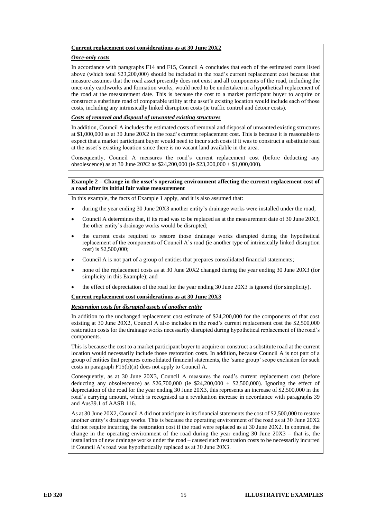#### **Current replacement cost considerations as at 30 June 20X2**

#### *Once-only costs*

In accordance with paragraphs [F14](#page-11-6) and [F15,](#page-12-0) Council A concludes that each of the estimated costs listed above (which total \$23,200,000) should be included in the road's current replacement cost because that measure assumes that the road asset presently does not exist and all components of the road, including the once-only earthworks and formation works, would need to be undertaken in a hypothetical replacement of the road at the measurement date. This is because the cost to a market participant buyer to acquire or construct a substitute road of comparable utility at the asset's existing location would include each of those costs, including any intrinsically linked disruption costs (ie traffic control and detour costs).

#### *Costs of removal and disposal of unwanted existing structures*

In addition, Council A includes the estimated costs of removal and disposal of unwanted existing structures at \$1,000,000 as at 30 June 20X2 in the road's current replacement cost. This is because it is reasonable to expect that a market participant buyer would need to incur such costs if it was to construct a substitute road at the asset's existing location since there is no vacant land available in the area.

Consequently, Council A measures the road's current replacement cost (before deducting any obsolescence) as at 30 June 20X2 as \$24,200,000 (ie \$23,200,000 + \$1,000,000).

#### **Example 2 – Change in the asset's operating environment affecting the current replacement cost of a road after its initial fair value measurement**

In this example, the facts of Example 1 apply, and it is also assumed that:

- during the year ending 30 June 20X3 another entity's drainage works were installed under the road;
- Council A determines that, if its road was to be replaced as at the measurement date of 30 June 20X3, the other entity's drainage works would be disrupted;
- the current costs required to restore those drainage works disrupted during the hypothetical replacement of the components of Council A's road (ie another type of intrinsically linked disruption cost) is \$2,500,000;
- Council A is not part of a group of entities that prepares consolidated financial statements;
- none of the replacement costs as at 30 June 20X2 changed during the year ending 30 June 20X3 (for simplicity in this Example); and
- the effect of depreciation of the road for the year ending 30 June 20X3 is ignored (for simplicity).

#### **Current replacement cost considerations as at 30 June 20X3**

#### *Restoration costs for disrupted assets of another entity*

In addition to the unchanged replacement cost estimate of \$24,200,000 for the components of that cost existing at 30 June 20X2, Council A also includes in the road's current replacement cost the \$2,500,000 restoration costs for the drainage works necessarily disrupted during hypothetical replacement of the road's components.

This is because the cost to a market participant buyer to acquire or construct a substitute road at the current location would necessarily include those restoration costs. In addition, because Council A is not part of a group of entities that prepares consolidated financial statements, the 'same group' scope exclusion for such costs in paragraph [F15\(](#page-12-0)b)(ii) does not apply to Council A.

Consequently, as at 30 June 20X3, Council A measures the road's current replacement cost (before deducting any obsolescence) as  $$26,700,000$  (ie  $$24,200,000 + $2,500,000$ ). Ignoring the effect of depreciation of the road for the year ending 30 June 20X3, this represents an increase of \$2,500,000 in the road's carrying amount, which is recognised as a revaluation increase in accordance with paragraphs 39 and Aus39.1 of AASB 116.

As at 30 June 20X2, Council A did not anticipate in its financial statements the cost of \$2,500,000 to restore another entity's drainage works. This is because the operating environment of the road as at 30 June 20X2 did not require incurring the restoration cost if the road were replaced as at 30 June 20X2. In contrast, the change in the operating environment of the road during the year ending 30 June 20X3 – that is, the installation of new drainage works under the road – caused such restoration costs to be necessarily incurred if Council A's road was hypothetically replaced as at 30 June 20X3.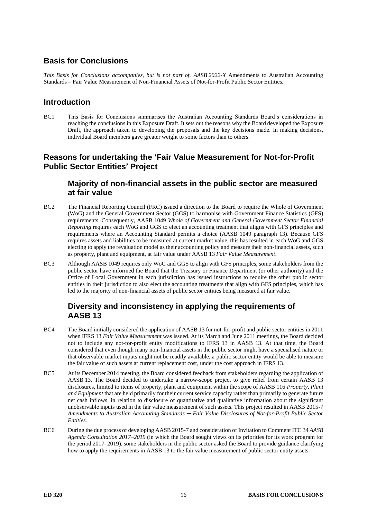# **Basis for Conclusions**

*This Basis for Conclusions accompanies, but is not part of, AASB 2022-X* Amendments to Australian Accounting Standards – Fair Value Measurement of Non-Financial Assets of Not-for-Profit Public Sector Entities*.*

#### **Introduction**

BC1 This Basis for Conclusions summarises the Australian Accounting Standards Board's considerations in reaching the conclusions in this Exposure Draft. It sets out the reasons why the Board developed the Exposure Draft, the approach taken to developing the proposals and the key decisions made. In making decisions, individual Board members gave greater weight to some factors than to others.

#### **Reasons for undertaking the 'Fair Value Measurement for Not-for-Profit Public Sector Entities' Project**

#### **Majority of non-financial assets in the public sector are measured at fair value**

- BC2 The Financial Reporting Council (FRC) issued a direction to the Board to require the Whole of Government (WoG) and the General Government Sector (GGS) to harmonise with Government Finance Statistics (GFS) requirements. Consequently, AASB 1049 *Whole of Government and General Government Sector Financial Reporting* requires each WoG and GGS to elect an accounting treatment that aligns with GFS principles and requirements where an Accounting Standard permits a choice (AASB 1049 paragraph 13). Because GFS requires assets and liabilities to be measured at current market value, this has resulted in each WoG and GGS electing to apply the revaluation model as their accounting policy and measure their non-financial assets, such as property, plant and equipment, at fair value under AASB 13 *Fair Value Measurement*.
- BC3 Although AASB 1049 requires only WoG and GGS to align with GFS principles, some stakeholders from the public sector have informed the Board that the Treasury or Finance Department (or other authority) and the Office of Local Government in each jurisdiction has issued instructions to require the other public sector entities in their jurisdiction to also elect the accounting treatments that align with GFS principles, which has led to the majority of non-financial assets of public sector entities being measured at fair value.

# **Diversity and inconsistency in applying the requirements of AASB 13**

- BC4 The Board initially considered the application of AASB 13 for not-for-profit and public sector entities in 2011 when IFRS 13 *Fair Value Measurement* was issued. At its March and June 2011 meetings, the Board decided not to include any not-for-profit entity modifications to IFRS 13 in AASB 13. At that time, the Board considered that even though many non-financial assets in the public sector might have a specialised nature or that observable market inputs might not be readily available, a public sector entity would be able to measure the fair value of such assets at current replacement cost, under the cost approach in IFRS 13.
- BC5 At its December 2014 meeting, the Board considered feedback from stakeholders regarding the application of AASB 13. The Board decided to undertake a narrow-scope project to give relief from certain AASB 13 disclosures, limited to items of property, plant and equipment within the scope of AASB 116 *Property, Plant and Equipment* that are held primarily for their current service capacity rather than primarily to generate future net cash inflows, in relation to disclosure of quantitative and qualitative information about the significant unobservable inputs used in the fair value measurement of such assets. This project resulted in AASB 2015-7 *Amendments to Australian Accounting Standards ─ Fair Value Disclosures of Not-for-Profit Public Sector Entities*.
- BC6 During the due process of developing AASB 2015-7 and consideration of Invitation to Comment ITC 34 *AASB Agenda Consultation 2017*–*2019* (in which the Board sought views on its priorities for its work program for the period 2017–2019), some stakeholders in the public sector asked the Board to provide guidance clarifying how to apply the requirements in AASB 13 to the fair value measurement of public sector entity assets.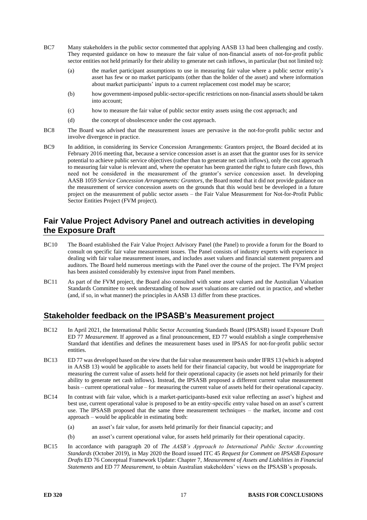- <span id="page-16-0"></span>BC7 Many stakeholders in the public sector commented that applying AASB 13 had been challenging and costly. They requested guidance on how to measure the fair value of non-financial assets of not-for-profit public sector entities not held primarily for their ability to generate net cash inflows, in particular (but not limited to):
	- (a) the market participant assumptions to use in measuring fair value where a public sector entity's asset has few or no market participants (other than the holder of the asset) and where information about market participants' inputs to a current replacement cost model may be scarce;
	- (b) how government-imposed public-sector-specific restrictions on non-financial assets should be taken into account;
	- (c) how to measure the fair value of public sector entity assets using the cost approach; and
	- (d) the concept of obsolescence under the cost approach.
- BC8 The Board was advised that the measurement issues are pervasive in the not-for-profit public sector and involve divergence in practice.
- BC9 In addition, in considering its Service Concession Arrangements: Grantors project, the Board decided at its February 2016 meeting that, because a service concession asset is an asset that the grantor uses for its service potential to achieve public service objectives (rather than to generate net cash inflows), only the cost approach to measuring fair value is relevant and, where the operator has been granted the right to future cash flows, this need not be considered in the measurement of the grantor's service concession asset. In developing AASB 1059 *Service Concession Arrangements: Grantors*, the Board noted that it did not provide guidance on the measurement of service concession assets on the grounds that this would best be developed in a future project on the measurement of public sector assets – the Fair Value Measurement for Not-for-Profit Public Sector Entities Project (FVM project).

# **Fair Value Project Advisory Panel and outreach activities in developing the Exposure Draft**

- BC10 The Board established the Fair Value Project Advisory Panel (the Panel) to provide a forum for the Board to consult on specific fair value measurement issues. The Panel consists of industry experts with experience in dealing with fair value measurement issues, and includes asset valuers and financial statement preparers and auditors. The Board held numerous meetings with the Panel over the course of the project. The FVM project has been assisted considerably by extensive input from Panel members.
- BC11 As part of the FVM project, the Board also consulted with some asset valuers and the Australian Valuation Standards Committee to seek understanding of how asset valuations are carried out in practice, and whether (and, if so, in what manner) the principles in AASB 13 differ from these practices.

### **Stakeholder feedback on the IPSASB's Measurement project**

- BC12 In April 2021, the International Public Sector Accounting Standards Board (IPSASB) issued Exposure Draft ED 77 *Measurement*. If approved as a final pronouncement, ED 77 would establish a single comprehensive Standard that identifies and defines the measurement bases used in IPSAS for not-for-profit public sector entities.
- BC13 ED 77 was developed based on the view that the fair value measurement basis under IFRS 13 (which is adopted in AASB 13) would be applicable to assets held for their financial capacity, but would be inappropriate for measuring the current value of assets held for their operational capacity (ie assets not held primarily for their ability to generate net cash inflows). Instead, the IPSASB proposed a different current value measurement basis – current operational value – for measuring the current value of assets held for their operational capacity.
- BC14 In contrast with fair value, which is a market-participants-based exit value reflecting an asset's highest and best use, current operational value is proposed to be an entity-specific entry value based on an asset's current use. The IPSASB proposed that the same three measurement techniques – the market, income and cost approach – would be applicable in estimating both:
	- (a) an asset's fair value, for assets held primarily for their financial capacity; and
	- (b) an asset's current operational value, for assets held primarily for their operational capacity.
- BC15 In accordance with paragraph 20 of *The AASB's Approach to International Public Sector Accounting Standards* (October 2019), in May 2020 the Board issued ITC 45 *Request for Comment on IPSASB Exposure Drafts* ED 76 Conceptual Framework Update: Chapter 7, *Measurement of Assets and Liabilities in Financial Statements* and ED 77 *Measurement*, to obtain Australian stakeholders' views on the IPSASB's proposals.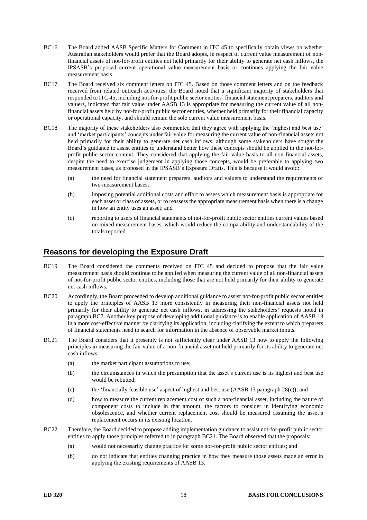- BC16 The Board added AASB Specific Matters for Comment in ITC 45 to specifically obtain views on whether Australian stakeholders would prefer that the Board adopts, in respect of current value measurement of nonfinancial assets of not-for-profit entities not held primarily for their ability to generate net cash inflows, the IPSASB's proposed current operational value measurement basis or continues applying the fair value measurement basis.
- BC17 The Board received six comment letters on ITC 45. Based on those comment letters and on the feedback received from related outreach activities, the Board noted that a significant majority of stakeholders that responded to ITC 45, including not-for-profit public sector entities' financial statement preparers, auditors and valuers, indicated that fair value under AASB 13 is appropriate for measuring the current value of all nonfinancial assets held by not-for-profit public sector entities, whether held primarily for their financial capacity or operational capacity, and should remain the sole current value measurement basis.
- BC18 The majority of these stakeholders also commented that they agree with applying the 'highest and best use' and 'market participants' concepts under fair value for measuring the current value of non-financial assets not held primarily for their ability to generate net cash inflows, although some stakeholders have sought the Board's guidance to assist entities to understand better how these concepts should be applied in the not-forprofit public sector context. They considered that applying the fair value basis to all non-financial assets, despite the need to exercise judgement in applying those concepts, would be preferable to applying two measurement bases, as proposed in the IPSASB's Exposure Drafts. This is because it would avoid:
	- (a) the need for financial statement preparers, auditors and valuers to understand the requirements of two measurement bases;
	- (b) imposing potential additional costs and effort to assess which measurement basis is appropriate for each asset or class of assets, or to reassess the appropriate measurement basis when there is a change in how an entity uses an asset; and
	- (c) reporting to users of financial statements of not-for-profit public sector entities current values based on mixed measurement bases, which would reduce the comparability and understandability of the totals reported.

#### **Reasons for developing the Exposure Draft**

- BC19 The Board considered the comments received on ITC 45 and decided to propose that the fair value measurement basis should continue to be applied when measuring the current value of all non-financial assets of not-for-profit public sector entities, including those that are not held primarily for their ability to generate net cash inflows.
- BC20 Accordingly, the Board proceeded to develop additional guidance to assist not-for-profit public sector entities to apply the principles of AASB 13 more consistently in measuring their non-financial assets not held primarily for their ability to generate net cash inflows, in addressing the stakeholders' requests noted in paragrap[h BC7.](#page-16-0) Another key purpose of developing additional guidance is to enable application of AASB 13 in a more cost-effective manner by clarifying its application, including clarifying the extent to which preparers of financial statements need to search for information in the absence of observable market inputs.
- <span id="page-17-0"></span>BC21 The Board considers that it presently is not sufficiently clear under AASB 13 how to apply the following principles in measuring the fair value of a non-financial asset not held primarily for its ability to generate net cash inflows:
	- (a) the market participant assumptions to use;
	- (b) the circumstances in which the presumption that the asset's current use is its highest and best use would be rebutted;
	- (c) the 'financially feasible use' aspect of highest and best use (AASB 13 paragraph 28(c)); and
	- (d) how to measure the current replacement cost of such a non-financial asset, including the nature of component costs to include in that amount, the factors to consider in identifying economic obsolescence, and whether current replacement cost should be measured assuming the asset's replacement occurs in its existing location.
- BC22 Therefore, the Board decided to propose adding implementation guidance to assist not-for-profit public sector entities to apply those principles referred to in paragraph [BC21.](#page-17-0) The Board observed that the proposals:
	- (a) would not necessarily change practice for some not-for-profit public sector entities; and
	- (b) do not indicate that entities changing practice in how they measure those assets made an error in applying the existing requirements of AASB 13.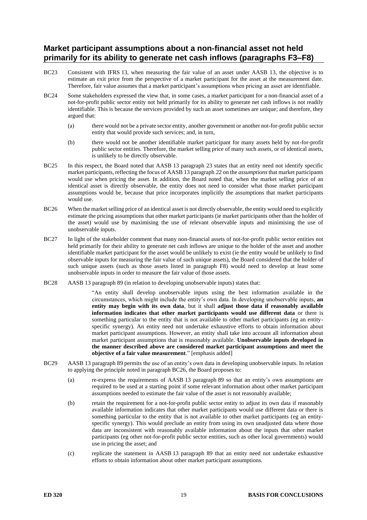### **Market participant assumptions about a non-financial asset not held primarily for its ability to generate net cash inflows (paragraphs [F3–](#page-10-4)[F8\)](#page-11-0)**

- BC23 Consistent with IFRS 13, when measuring the fair value of an asset under AASB 13, the objective is to estimate an exit price from the perspective of a market participant for the asset at the measurement date. Therefore, fair value assumes that a market participant's assumptions when pricing an asset are identifiable.
- BC24 Some stakeholders expressed the view that, in some cases, a market participant for a non-financial asset of a not-for-profit public sector entity not held primarily for its ability to generate net cash inflows is not readily identifiable. This is because the services provided by such an asset sometimes are unique; and therefore, they argued that:
	- (a) there would not be a private sector entity, another government or another not-for-profit public sector entity that would provide such services; and, in turn,
	- (b) there would not be another identifiable market participant for many assets held by not-for-profit public sector entities. Therefore, the market selling price of many such assets, or of identical assets, is unlikely to be directly observable.
- BC25 In this respect, the Board noted that AASB 13 paragraph 23 states that an entity need not identify specific market participants, reflecting the focus of AASB 13 paragraph 22 on the *assumptions* that market participants would use when pricing the asset. In addition, the Board noted that, when the market selling price of an identical asset is directly observable, the entity does not need to consider what those market participant assumptions would be, because that price incorporates implicitly the assumptions that market participants would use.
- <span id="page-18-0"></span>BC26 When the market selling price of an identical asset is not directly observable, the entity would need to explicitly estimate the pricing assumptions that other market participants (ie market participants other than the holder of the asset) would use by maximising the use of relevant observable inputs and minimising the use of unobservable inputs.
- BC27 In light of the stakeholder comment that many non-financial assets of not-for-profit public sector entities not held primarily for their ability to generate net cash inflows are unique to the holder of the asset and another identifiable market participant for the asset would be unlikely to exist (ie the entity would be unlikely to find observable inputs for measuring the fair value of such unique assets), the Board considered that the holder of such unique assets (such as those assets listed in paragraph [F8\)](#page-11-0) would need to develop at least some unobservable inputs in order to measure the fair value of those assets.
- BC28 AASB 13 paragraph 89 (in relation to developing unobservable inputs) states that:

<span id="page-18-1"></span>"An entity shall develop unobservable inputs using the best information available in the circumstances, which might include the entity's own data. In developing unobservable inputs, **an entity may begin with its own data**, but it shall **adjust those data if reasonably available information indicates that other market participants would use different data** or there is something particular to the entity that is not available to other market participants (eg an entityspecific synergy). An entity need not undertake exhaustive efforts to obtain information about market participant assumptions. However, an entity shall take into account all information about market participant assumptions that is reasonably available. **Unobservable inputs developed in the manner described above are considered market participant assumptions and meet the objective of a fair value measurement**." [emphasis added]

- BC29 AASB 13 paragraph 89 permits the use of an entity's own data in developing unobservable inputs. In relation to applying the principle noted in paragraph [BC26,](#page-18-0) the Board proposes to:
	- (a) re-express the requirements of AASB 13 paragraph 89 so that an entity's own assumptions are required to be used at a starting point if some relevant information about other market participant assumptions needed to estimate the fair value of the asset is not reasonably available;
	- (b) retain the requirement for a not-for-profit public sector entity to adjust its own data if reasonably available information indicates that other market participants would use different data or there is something particular to the entity that is not available to other market participants (eg an entityspecific synergy). This would preclude an entity from using its own unadjusted data where those data are inconsistent with reasonably available information about the inputs that other market participants (eg other not-for-profit public sector entities, such as other local governments) would use in pricing the asset; and
	- (c) replicate the statement in AASB 13 paragraph 89 that an entity need not undertake exhaustive efforts to obtain information about other market participant assumptions.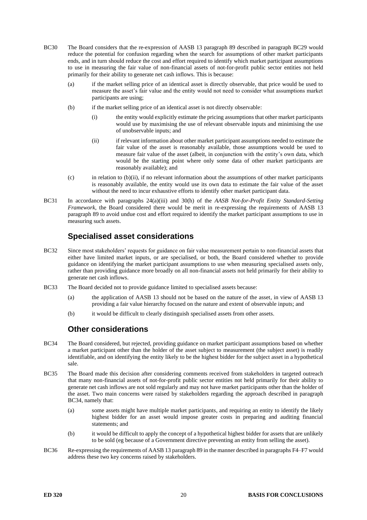- BC30 The Board considers that the re-expression of AASB 13 paragraph 89 described in paragraph [BC29](#page-18-1) would reduce the potential for confusion regarding when the search for assumptions of other market participants ends, and in turn should reduce the cost and effort required to identify which market participant assumptions to use in measuring the fair value of non-financial assets of not-for-profit public sector entities not held primarily for their ability to generate net cash inflows. This is because:
	- (a) if the market selling price of an identical asset is directly observable, that price would be used to measure the asset's fair value and the entity would not need to consider what assumptions market participants are using;
	- (b) if the market selling price of an identical asset is not directly observable:
		- (i) the entity would explicitly estimate the pricing assumptions that other market participants would use by maximising the use of relevant observable inputs and minimising the use of unobservable inputs; and
		- (ii) if relevant information about other market participant assumptions needed to estimate the fair value of the asset is reasonably available, those assumptions would be used to measure fair value of the asset (albeit, in conjunction with the entity's own data, which would be the starting point where only some data of other market participants are reasonably available); and
	- (c) in relation to (b)(ii), if no relevant information about the assumptions of other market participants is reasonably available, the entity would use its own data to estimate the fair value of the asset without the need to incur exhaustive efforts to identify other market participant data.
- BC31 In accordance with paragraphs 24(a)(iii) and 30(h) of the *AASB Not-for-Profit Entity Standard-Setting Framework*, the Board considered there would be merit in re-expressing the requirements of AASB 13 paragraph 89 to avoid undue cost and effort required to identify the market participant assumptions to use in measuring such assets.

# **Specialised asset considerations**

- BC32 Since most stakeholders' requests for guidance on fair value measurement pertain to non-financial assets that either have limited market inputs, or are specialised, or both, the Board considered whether to provide guidance on identifying the market participant assumptions to use when measuring specialised assets only, rather than providing guidance more broadly on all non-financial assets not held primarily for their ability to generate net cash inflows.
- BC33 The Board decided not to provide guidance limited to specialised assets because:
	- (a) the application of AASB 13 should not be based on the nature of the asset, in view of AASB 13 providing a fair value hierarchy focused on the nature and extent of observable inputs; and
	- (b) it would be difficult to clearly distinguish specialised assets from other assets.

### **Other considerations**

- <span id="page-19-0"></span>BC34 The Board considered, but rejected, providing guidance on market participant assumptions based on whether a market participant other than the holder of the asset subject to measurement (the subject asset) is readily identifiable, and on identifying the entity likely to be the highest bidder for the subject asset in a hypothetical sale.
- BC35 The Board made this decision after considering comments received from stakeholders in targeted outreach that many non-financial assets of not-for-profit public sector entities not held primarily for their ability to generate net cash inflows are not sold regularly and may not have market participants other than the holder of the asset. Two main concerns were raised by stakeholders regarding the approach described in paragraph [BC34,](#page-19-0) namely that:
	- (a) some assets might have multiple market participants, and requiring an entity to identify the likely highest bidder for an asset would impose greater costs in preparing and auditing financial statements; and
	- (b) it would be difficult to apply the concept of a hypothetical highest bidder for assets that are unlikely to be sold (eg because of a Government directive preventing an entity from selling the asset).
- BC36 Re-expressing the requirements of AASB 13 paragraph 89 in the manner described in paragraphs [F4](#page-10-0)[–F7](#page-10-1) would address these two key concerns raised by stakeholders.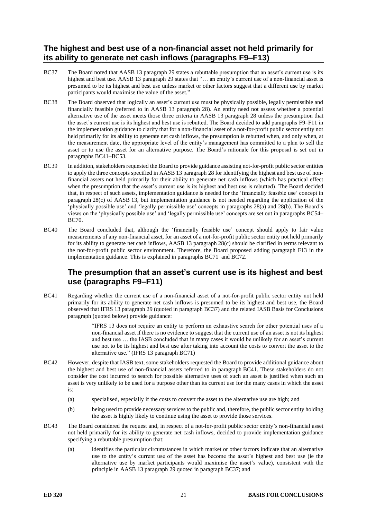# **The highest and best use of a non-financial asset not held primarily for its ability to generate net cash inflows (paragraphs [F9](#page-11-1)[–F13\)](#page-11-5)**

- <span id="page-20-1"></span>BC37 The Board noted that AASB 13 paragraph 29 states a rebuttable presumption that an asset's current use is its highest and best use. AASB 13 paragraph 29 states that "... an entity's current use of a non-financial asset is presumed to be its highest and best use unless market or other factors suggest that a different use by market participants would maximise the value of the asset."
- BC38 The Board observed that logically an asset's current use must be physically possible, legally permissible and financially feasible (referred to in AASB 13 paragraph 28). An entity need not assess whether a potential alternative use of the asset meets those three criteria in AASB 13 paragraph 28 unless the presumption that the asset's current use is its highest and best use is rebutted. The Board decided to add paragraphs [F9](#page-11-1)[–F11](#page-11-2) in the implementation guidance to clarify that for a non-financial asset of a not-for-profit public sector entity not held primarily for its ability to generate net cash inflows, the presumption is rebutted when, and only when, at the measurement date, the appropriate level of the entity's management has committed to a plan to sell the asset or to use the asset for an alternative purpose. The Board's rationale for this proposal is set out in paragraphs [BC41](#page-20-0)[–BC53.](#page-22-0)
- BC39 In addition, stakeholders requested the Board to provide guidance assisting not-for-profit public sector entities to apply the three concepts specified in AASB 13 paragraph 28 for identifying the highest and best use of nonfinancial assets not held primarily for their ability to generate net cash inflows (which has practical effect when the presumption that the asset's current use is its highest and best use is rebutted). The Board decided that, in respect of such assets, implementation guidance is needed for the 'financially feasible use' concept in paragraph 28(c) of AASB 13, but implementation guidance is not needed regarding the application of the 'physically possible use' and 'legally permissible use' concepts in paragraphs 28(a) and 28(b). The Board's views on the 'physically possible use' and 'legally permissible use' concepts are set out in paragraph[s BC54–](#page-22-1) [BC70.](#page-24-0)
- BC40 The Board concluded that, although the 'financially feasible use' concept should apply to fair value measurements of any non-financial asset, for an asset of a not-for-profit public sector entity not held primarily for its ability to generate net cash inflows, AASB 13 paragraph 28(c) should be clarified in terms relevant to the not-for-profit public sector environment. Therefore, the Board proposed adding paragraph [F13](#page-11-7) in the implementation guidance. This is explained in paragraphs [BC71](#page-24-1) and [BC72.](#page-24-2)

### **The presumption that an asset's current use is its highest and best use (paragraphs [F9](#page-11-1)[–F11\)](#page-11-2)**

<span id="page-20-0"></span>BC41 Regarding whether the current use of a non-financial asset of a not-for-profit public sector entity not held primarily for its ability to generate net cash inflows is presumed to be its highest and best use, the Board observed that IFRS 13 paragraph 29 (quoted in paragraph [BC37\)](#page-20-1) and the related IASB Basis for Conclusions paragraph (quoted below) provide guidance:

> "IFRS 13 does not require an entity to perform an exhaustive search for other potential uses of a non-financial asset if there is no evidence to suggest that the current use of an asset is not its highest and best use … the IASB concluded that in many cases it would be unlikely for an asset's current use not to be its highest and best use after taking into account the costs to convert the asset to the alternative use." (IFRS 13 paragraph BC71)

- BC42 However, despite that IASB text, some stakeholders requested the Board to provide additional guidance about the highest and best use of non-financial assets referred to in paragraph [BC41.](#page-20-0) These stakeholders do not consider the cost incurred to search for possible alternative uses of such an asset is justified when such an asset is very unlikely to be used for a purpose other than its current use for the many cases in which the asset is:
	- (a) specialised, especially if the costs to convert the asset to the alternative use are high; and
	- (b) being used to provide necessary services to the public and, therefore, the public sector entity holding the asset is highly likely to continue using the asset to provide those services.
- BC43 The Board considered the request and, in respect of a not-for-profit public sector entity's non-financial asset not held primarily for its ability to generate net cash inflows, decided to provide implementation guidance specifying a rebuttable presumption that:
	- (a) identifies the particular circumstances in which market or other factors indicate that an alternative use to the entity's current use of the asset has become the asset's highest and best use (ie the alternative use by market participants would maximise the asset's value), consistent with the principle in AASB 13 paragraph 29 quoted in paragraph [BC37;](#page-20-1) and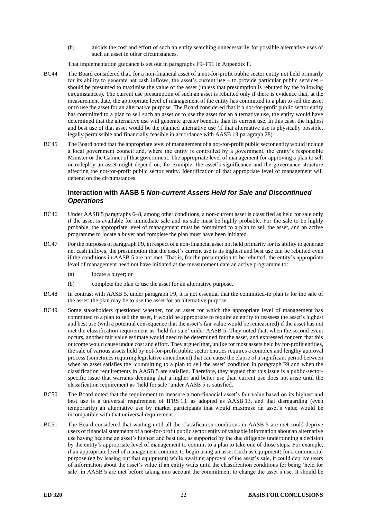(b) avoids the cost and effort of such an entity searching unnecessarily for possible alternative uses of such an asset in other circumstances.

That implementation guidance is set out in paragraph[s F9–](#page-11-1)[F11](#page-11-2) in Appendix F.

- BC44 The Board considered that, for a non-financial asset of a not-for-profit public sector entity not held primarily for its ability to generate net cash inflows, the asset's current use – to provide particular public services – should be presumed to maximise the value of the asset (unless that presumption is rebutted by the following circumstances). The current use presumption of such an asset is rebutted only if there is evidence that, at the measurement date, the appropriate level of management of the entity has committed to a plan to sell the asset or to use the asset for an alternative purpose. The Board considered that if a not-for-profit public sector entity has committed to a plan to sell such an asset or to use the asset for an alternative use, the entity would have determined that the alternative use will generate greater benefits than its current use. In this case, the highest and best use of that asset would be the planned alternative use (if that alternative use is physically possible, legally permissible and financially feasible in accordance with AASB 13 paragraph 28).
- BC45 The Board noted that the appropriate level of management of a not-for-profit public sector entity would include a local government council and, where the entity is controlled by a government, the entity's responsible Minister or the Cabinet of that government. The appropriate level of management for approving a plan to sell or redeploy an asset might depend on, for example, the asset's significance and the governance structure affecting the not-for-profit public sector entity. Identification of that appropriate level of management will depend on the circumstances.

#### **Interaction with AASB 5** *Non-current Assets Held for Sale and Discontinued Operations*

- BC46 Under AASB 5 paragraphs 6–8, among other conditions, a non-current asset is classified as held for sale only if the asset is available for immediate sale and its sale must be highly probable. For the sale to be highly probable, the appropriate level of management must be committed to a plan to sell the asset, and an active programme to locate a buyer and complete the plan must have been initiated.
- BC47 For the purposes of paragrap[h F9,](#page-11-1) in respect of a non-financial asset not held primarily for its ability to generate net cash inflows, the presumption that the asset's current use is its highest and best use can be rebutted even if the conditions in AASB 5 are not met. That is, for the presumption to be rebutted, the entity's appropriate level of management need not have initiated at the measurement date an active programme to:
	- (a) locate a buyer; or
	- (b) complete the plan to use the asset for an alternative purpose.
- BC48 In contrast with AASB 5, under paragraph [F9,](#page-11-1) it is not essential that the committed-to plan is for the sale of the asset: the plan may be to use the asset for an alternative purpose.
- BC49 Some stakeholders questioned whether, for an asset for which the appropriate level of management has committed to a plan to sell the asset, it would be appropriate to require an entity to reassess the asset's highest and best use (with a potential consequence that the asset's fair value would be remeasured) if the asset has not met the classification requirement as 'held for sale' under AASB 5. They noted that, when the second event occurs, another fair value estimate would need to be determined for the asset, and expressed concern that this outcome would cause undue cost and effort. They argued that, unlike for most assets held by for-profit entities, the sale of various assets held by not-for-profit public sector entities requires a complex and lengthy approval process (sometimes requiring legislative amendment) that can cause the elapse of a significant period between when an asset satisfies the 'committing to a plan to sell the asset' condition in paragraph [F9](#page-11-1) and when the classification requirements in AASB 5 are satisfied. Therefore, they argued that this issue is a public-sectorspecific issue that warrants deeming that a higher and better use than current use does not arise until the classification requirement as 'held for sale' under AASB 5 is satisfied.
- BC50 The Board noted that the requirement to measure a non-financial asset's fair value based on its highest and best use is a universal requirement of IFRS 13, as adopted as AASB 13, and that disregarding (even temporarily) an alternative use by market participants that would maximise an asset's value would be incompatible with that universal requirement.
- BC51 The Board considered that waiting until all the classification conditions in AASB 5 are met could deprive users of financial statements of a not-for-profit public sector entity of valuable information about an alternative use having become an asset's highest and best use, as supported by the due diligence underpinning a decision by the entity's appropriate level of management to commit to a plan to take one of those steps. For example, if an appropriate level of management commits to begin using an asset (such as equipment) for a commercial purpose (eg by leasing out that equipment) while awaiting approval of the asset's sale, it could deprive users of information about the asset's value if an entity waits until the classification conditions for being 'held for sale' in AASB 5 are met before taking into account the commitment to change the asset's use. It should be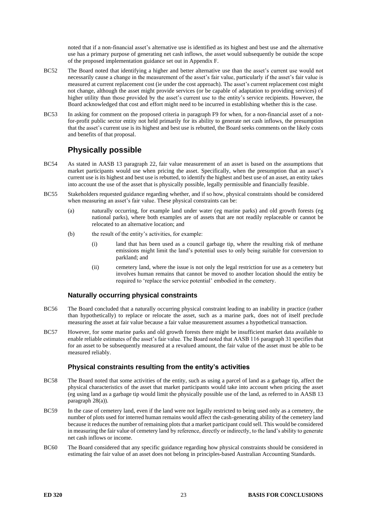noted that if a non-financial asset's alternative use is identified as its highest and best use and the alternative use has a primary purpose of generating net cash inflows, the asset would subsequently be outside the scope of the proposed implementation guidance set out in Appendix F.

- BC52 The Board noted that identifying a higher and better alternative use than the asset's current use would not necessarily cause a change in the measurement of the asset's fair value, particularly if the asset's fair value is measured at current replacement cost (ie under the cost approach). The asset's current replacement cost might not change, although the asset might provide services (or be capable of adaptation to providing services) of higher utility than those provided by the asset's current use to the entity's service recipients. However, the Board acknowledged that cost and effort might need to be incurred in establishing whether this is the case.
- <span id="page-22-0"></span>BC53 In asking for comment on the proposed criteria in paragraph [F9](#page-11-1) for when, for a non-financial asset of a notfor-profit public sector entity not held primarily for its ability to generate net cash inflows, the presumption that the asset's current use is its highest and best use is rebutted, the Board seeks comments on the likely costs and benefits of that proposal.

# **Physically possible**

- <span id="page-22-1"></span>BC54 As stated in AASB 13 paragraph 22, fair value measurement of an asset is based on the assumptions that market participants would use when pricing the asset. Specifically, when the presumption that an asset's current use is its highest and best use is rebutted, to identify the highest and best use of an asset, an entity takes into account the use of the asset that is physically possible, legally permissible and financially feasible.
- BC55 Stakeholders requested guidance regarding whether, and if so how, physical constraints should be considered when measuring an asset's fair value. These physical constraints can be:
	- (a) naturally occurring, for example land under water (eg marine parks) and old growth forests (eg national parks), where both examples are of assets that are not readily replaceable or cannot be relocated to an alternative location; and
	- (b) the result of the entity's activities, for example:
		- (i) land that has been used as a council garbage tip, where the resulting risk of methane emissions might limit the land's potential uses to only being suitable for conversion to parkland; and
		- (ii) cemetery land, where the issue is not only the legal restriction for use as a cemetery but involves human remains that cannot be moved to another location should the entity be required to 'replace the service potential' embodied in the cemetery.

#### **Naturally occurring physical constraints**

- BC56 The Board concluded that a naturally occurring physical constraint leading to an inability in practice (rather than hypothetically) to replace or relocate the asset, such as a marine park, does not of itself preclude measuring the asset at fair value because a fair value measurement assumes a hypothetical transaction.
- BC57 However, for some marine parks and old growth forests there might be insufficient market data available to enable reliable estimates of the asset's fair value. The Board noted that AASB 116 paragraph 31 specifies that for an asset to be subsequently measured at a revalued amount, the fair value of the asset must be able to be measured reliably.

#### **Physical constraints resulting from the entity's activities**

- BC58 The Board noted that some activities of the entity, such as using a parcel of land as a garbage tip, affect the physical characteristics of the asset that market participants would take into account when pricing the asset (eg using land as a garbage tip would limit the physically possible use of the land, as referred to in AASB 13 paragraph 28(a)).
- BC59 In the case of cemetery land, even if the land were not legally restricted to being used only as a cemetery, the number of plots used for interred human remains would affect the cash-generating ability of the cemetery land because it reduces the number of remaining plots that a market participant could sell. This would be considered in measuring the fair value of cemetery land by reference, directly or indirectly, to the land's ability to generate net cash inflows or income.
- BC60 The Board considered that any specific guidance regarding how physical constraints should be considered in estimating the fair value of an asset does not belong in principles-based Australian Accounting Standards.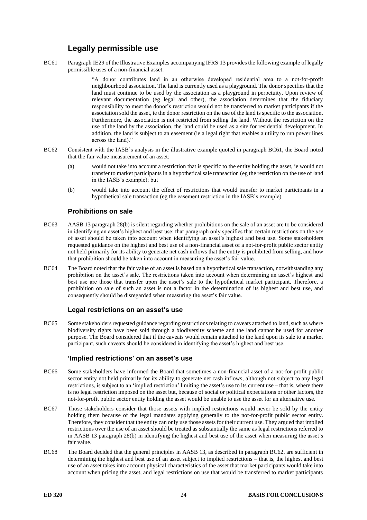# **Legally permissible use**

<span id="page-23-0"></span>BC61 Paragraph IE29 of the Illustrative Examples accompanying IFRS 13 provides the following example of legally permissible uses of a non-financial asset:

> "A donor contributes land in an otherwise developed residential area to a not-for-profit neighbourhood association. The land is currently used as a playground. The donor specifies that the land must continue to be used by the association as a playground in perpetuity. Upon review of relevant documentation (eg legal and other), the association determines that the fiduciary responsibility to meet the donor's restriction would not be transferred to market participants if the association sold the asset, ie the donor restriction on the use of the land is specific to the association. Furthermore, the association is not restricted from selling the land. Without the restriction on the use of the land by the association, the land could be used as a site for residential development. In addition, the land is subject to an easement (ie a legal right that enables a utility to run power lines across the land)."

- <span id="page-23-1"></span>BC62 Consistent with the IASB's analysis in the illustrative example quoted in paragraph [BC61,](#page-23-0) the Board noted that the fair value measurement of an asset:
	- (a) would not take into account a restriction that is specific to the entity holding the asset, ie would not transfer to market participants in a hypothetical sale transaction (eg the restriction on the use of land in the IASB's example); but
	- (b) would take into account the effect of restrictions that would transfer to market participants in a hypothetical sale transaction (eg the easement restriction in the IASB's example).

#### **Prohibitions on sale**

- BC63 AASB 13 paragraph 28(b) is silent regarding whether prohibitions on the sale of an asset are to be considered in identifying an asset's highest and best use; that paragraph only specifies that certain restrictions on the *use* of asset should be taken into account when identifying an asset's highest and best use. Some stakeholders requested guidance on the highest and best use of a non-financial asset of a not-for-profit public sector entity not held primarily for its ability to generate net cash inflows that the entity is prohibited from selling, and how that prohibition should be taken into account in measuring the asset's fair value.
- BC64 The Board noted that the fair value of an asset is based on a hypothetical sale transaction, notwithstanding any prohibition on the asset's sale. The restrictions taken into account when determining an asset's highest and best use are those that transfer upon the asset's sale to the hypothetical market participant. Therefore, a prohibition on sale of such an asset is not a factor in the determination of its highest and best use, and consequently should be disregarded when measuring the asset's fair value.

#### **Legal restrictions on an asset's use**

BC65 Some stakeholders requested guidance regarding restrictions relating to caveats attached to land, such as where biodiversity rights have been sold through a biodiversity scheme and the land cannot be used for another purpose. The Board considered that if the caveats would remain attached to the land upon its sale to a market participant, such caveats should be considered in identifying the asset's highest and best use.

#### **'Implied restrictions' on an asset's use**

- BC66 Some stakeholders have informed the Board that sometimes a non-financial asset of a not-for-profit public sector entity not held primarily for its ability to generate net cash inflows, although not subject to any legal restrictions, is subject to an 'implied restriction' limiting the asset's use to its current use – that is, where there is no legal restriction imposed on the asset but, because of social or political expectations or other factors, the not-for-profit public sector entity holding the asset would be unable to use the asset for an alternative use.
- BC67 Those stakeholders consider that those assets with implied restrictions would never be sold by the entity holding them because of the legal mandates applying generally to the not-for-profit public sector entity. Therefore, they consider that the entity can only use those assets for their current use. They argued that implied restrictions over the use of an asset should be treated as substantially the same as legal restrictions referred to in AASB 13 paragraph 28(b) in identifying the highest and best use of the asset when measuring the asset's fair value.
- BC68 The Board decided that the general principles in AASB 13, as described in paragraph [BC62,](#page-23-1) are sufficient in determining the highest and best use of an asset subject to implied restrictions – that is, the highest and best use of an asset takes into account physical characteristics of the asset that market participants would take into account when pricing the asset, and legal restrictions on use that would be transferred to market participants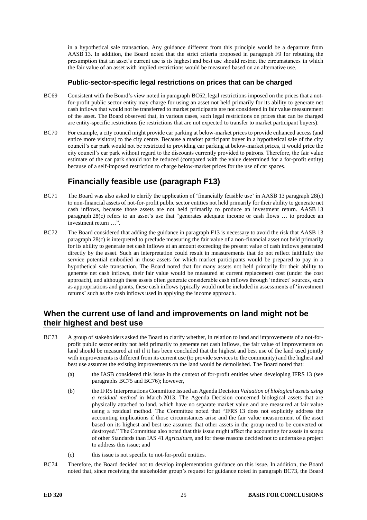in a hypothetical sale transaction. Any guidance different from this principle would be a departure from AASB 13. In addition, the Board noted that the strict criteria proposed in paragraph [F9](#page-11-1) for rebutting the presumption that an asset's current use is its highest and best use should restrict the circumstances in which the fair value of an asset with implied restrictions would be measured based on an alternative use.

#### **Public-sector-specific legal restrictions on prices that can be charged**

- BC69 Consistent with the Board's view noted in paragraph [BC62,](#page-23-1) legal restrictions imposed on the prices that a notfor-profit public sector entity may charge for using an asset not held primarily for its ability to generate net cash inflows that would not be transferred to market participants are not considered in fair value measurement of the asset. The Board observed that, in various cases, such legal restrictions on prices that can be charged are entity-specific restrictions (ie restrictions that are not expected to transfer to market participant buyers).
- <span id="page-24-0"></span>BC70 For example, a city council might provide car parking at below-market prices to provide enhanced access (and entice more visitors) to the city centre. Because a market participant buyer in a hypothetical sale of the city council's car park would not be restricted to providing car parking at below-market prices, it would price the city council's car park without regard to the discounts currently provided to patrons. Therefore, the fair value estimate of the car park should not be reduced (compared with the value determined for a for-profit entity) because of a self-imposed restriction to charge below-market prices for the use of car spaces.

# **Financially feasible use (paragraph [F13\)](#page-11-7)**

- <span id="page-24-1"></span>BC71 The Board was also asked to clarify the application of 'financially feasible use' in AASB 13 paragraph 28(c) to non-financial assets of not-for-profit public sector entities not held primarily for their ability to generate net cash inflows, because those assets are not held primarily to produce an investment return. AASB 13 paragraph 28(c) refers to an asset's use that "generates adequate income or cash flows … to produce an investment return …".
- <span id="page-24-2"></span>BC72 The Board considered that adding the guidance in paragrap[h F13](#page-11-7) is necessary to avoid the risk that AASB 13 paragraph 28(c) is interpreted to preclude measuring the fair value of a non-financial asset not held primarily for its ability to generate net cash inflows at an amount exceeding the present value of cash inflows generated directly by the asset. Such an interpretation could result in measurements that do not reflect faithfully the service potential embodied in those assets for which market participants would be prepared to pay in a hypothetical sale transaction. The Board noted that for many assets not held primarily for their ability to generate net cash inflows, their fair value would be measured at current replacement cost (under the cost approach), and although these assets often generate considerable cash inflows through 'indirect' sources, such as appropriations and grants, these cash inflows typically would not be included in assessments of 'investment returns' such as the cash inflows used in applying the income approach.

#### **When the current use of land and improvements on land might not be their highest and best use**

- <span id="page-24-3"></span>BC73 A group of stakeholders asked the Board to clarify whether, in relation to land and improvements of a not-forprofit public sector entity not held primarily to generate net cash inflows, the fair value of improvements on land should be measured at nil if it has been concluded that the highest and best use of the land used jointly with improvements is different from its current use (to provide services to the community) and the highest and best use assumes the existing improvements on the land would be demolished. The Board noted that:
	- (a) the IASB considered this issue in the context of for-profit entities when developing IFRS 13 (see paragraphs [BC75](#page-25-0) and [BC76\)](#page-25-1); however,
	- (b) the IFRS Interpretations Committee issued an Agenda Decision *Valuation of biological assets using a residual method* in March 2013. The Agenda Decision concerned biological assets that are physically attached to land, which have no separate market value and are measured at fair value using a residual method. The Committee noted that "IFRS 13 does not explicitly address the accounting implications if those circumstances arise and the fair value measurement of the asset based on its highest and best use assumes that other assets in the group need to be converted or destroyed." The Committee also noted that this issue might affect the accounting for assets in scope of other Standards than IAS 41 *Agriculture*, and for these reasons decided not to undertake a project to address this issue; and
	- (c) this issue is not specific to not-for-profit entities.
- BC74 Therefore, the Board decided not to develop implementation guidance on this issue. In addition, the Board noted that, since receiving the stakeholder group's request for guidance noted in paragraph [BC73,](#page-24-3) the Board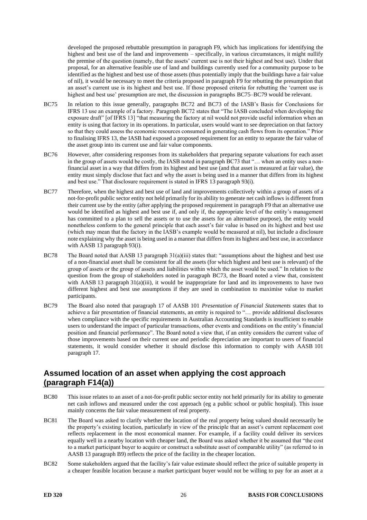developed the proposed rebuttable presumption in paragraph [F9,](#page-11-1) which has implications for identifying the highest and best use of the land and improvements – specifically, in various circumstances, it might nullify the premise of the question (namely, that the assets' current use is not their highest and best use). Under that proposal, for an alternative feasible use of land and buildings currently used for a community purpose to be identified as the highest and best use of those assets (thus potentially imply that the buildings have a fair value of nil), it would be necessary to meet the criteria proposed in paragraph [F9](#page-11-1) for rebutting the presumption that an asset's current use is its highest and best use. If those proposed criteria for rebutting the 'current use is highest and best use' presumption are met, the discussion in paragraphs [BC75–](#page-25-0)[BC79](#page-25-2) would be relevant.

- <span id="page-25-0"></span>BC75 In relation to this issue generally, paragraphs BC72 and BC73 of the IASB's Basis for Conclusions for IFRS 13 use an example of a factory. Paragraph BC72 states that "The IASB concluded when developing the exposure draft" [of IFRS 13] "that measuring the factory at nil would not provide useful information when an entity is using that factory in its operations. In particular, users would want to see depreciation on that factory so that they could assess the economic resources consumed in generating cash flows from its operation." Prior to finalising IFRS 13, the IASB had exposed a proposed requirement for an entity to separate the fair value of the asset group into its current use and fair value components.
- <span id="page-25-1"></span>BC76 However, after considering responses from its stakeholders that preparing separate valuations for each asset in the group of assets would be costly, the IASB noted in paragraph BC73 that "… when an entity uses a nonfinancial asset in a way that differs from its highest and best use (and that asset is measured at fair value), the entity must simply disclose that fact and why the asset is being used in a manner that differs from its highest and best use." That disclosure requirement is stated in IFRS 13 paragraph 93(i).
- BC77 Therefore, when the highest and best use of land and improvements collectively within a group of assets of a not-for-profit public sector entity not held primarily for its ability to generate net cash inflows is different from their current use by the entity (after applying the proposed requirement in paragrap[h F9](#page-11-1) that an alternative use would be identified as highest and best use if, and only if, the appropriate level of the entity's management has committed to a plan to sell the assets or to use the assets for an alternative purpose), the entity would nonetheless conform to the general principle that each asset's fair value is based on its highest and best use (which may mean that the factory in the IASB's example would be measured at nil), but include a disclosure note explaining why the asset is being used in a manner that differs from its highest and best use, in accordance with AASB 13 paragraph 93(i).
- BC78 The Board noted that AASB 13 paragraph 31(a)(iii) states that: "assumptions about the highest and best use of a non-financial asset shall be consistent for all the assets (for which highest and best use is relevant) of the group of assets or the group of assets and liabilities within which the asset would be used." In relation to the question from the group of stakeholders noted in paragraph [BC73,](#page-24-3) the Board noted a view that, consistent with AASB 13 paragraph  $31(a)(iii)$ , it would be inappropriate for land and its improvements to have two different highest and best use assumptions if they are used in combination to maximise value to market participants.
- <span id="page-25-2"></span>BC79 The Board also noted that paragraph 17 of AASB 101 *Presentation of Financial Statements* states that to achieve a fair presentation of financial statements, an entity is required to "… provide additional disclosures when compliance with the specific requirements in Australian Accounting Standards is insufficient to enable users to understand the impact of particular transactions, other events and conditions on the entity's financial position and financial performance". The Board noted a view that, if an entity considers the current value of those improvements based on their current use and periodic depreciation are important to users of financial statements, it would consider whether it should disclose this information to comply with AASB 101 paragraph 17.

# **Assumed location of an asset when applying the cost approach (paragraph [F14\(](#page-11-6)a))**

- BC80 This issue relates to an asset of a not-for-profit public sector entity not held primarily for its ability to generate net cash inflows and measured under the cost approach (eg a public school or public hospital). This issue mainly concerns the fair value measurement of real property.
- BC81 The Board was asked to clarify whether the location of the real property being valued should necessarily be the property's existing location, particularly in view of the principle that an asset's current replacement cost reflects replacement in the most economical manner. For example, if a facility could deliver its services equally well in a nearby location with cheaper land, the Board was asked whether it be assumed that "the cost to a market participant buyer to acquire or construct a substitute asset of comparable utility" (as referred to in AASB 13 paragraph B9) reflects the price of the facility in the cheaper location.
- BC82 Some stakeholders argued that the facility's fair value estimate should reflect the price of suitable property in a cheaper feasible location because a market participant buyer would not be willing to pay for an asset at a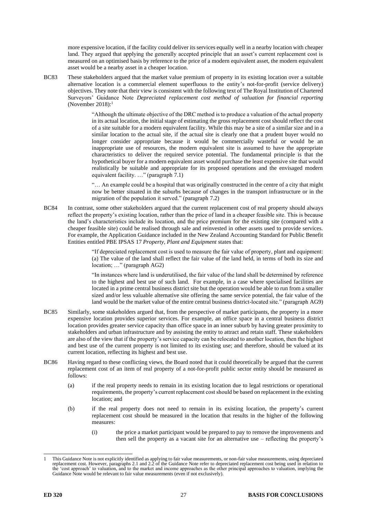more expensive location, if the facility could deliver its services equally well in a nearby location with cheaper land. They argued that applying the generally accepted principle that an asset's current replacement cost is measured on an optimised basis by reference to the price of a modern equivalent asset, the modern equivalent asset would be a nearby asset in a cheaper location.

BC83 These stakeholders argued that the market value premium of property in its existing location over a suitable alternative location is a commercial element superfluous to the entity's not-for-profit (service delivery) objectives. They note that their view is consistent with the following text of The Royal Institution of Chartered Surveyors' Guidance Note *Depreciated replacement cost method of valuation for financial reporting* (November 2018):<sup>1</sup>

> "Although the ultimate objective of the DRC method is to produce a valuation of the actual property in its actual location, the initial stage of estimating the gross replacement cost should reflect the cost of a site suitable for a modern equivalent facility. While this may be a site of a similar size and in a similar location to the actual site, if the actual site is clearly one that a prudent buyer would no longer consider appropriate because it would be commercially wasteful or would be an inappropriate use of resources, the modern equivalent site is assumed to have the appropriate characteristics to deliver the required service potential. The fundamental principle is that the hypothetical buyer for a modern equivalent asset would purchase the least expensive site that would realistically be suitable and appropriate for its proposed operations and the envisaged modern equivalent facility. …" (paragraph 7.1)

> "… An example could be a hospital that was originally constructed in the centre of a city that might now be better situated in the suburbs because of changes in the transport infrastructure or in the migration of the population it served." (paragraph 7.2)

BC84 In contrast, some other stakeholders argued that the current replacement cost of real property should always reflect the property's existing location, rather than the price of land in a cheaper feasible site. This is because the land's characteristics include its location, and the price premium for the existing site (compared with a cheaper feasible site) could be realised through sale and reinvested in other assets used to provide services. For example, the Application Guidance included in the New Zealand Accounting Standard for Public Benefit Entities entitled PBE IPSAS 17 *Property, Plant and Equipment* states that:

> "If depreciated replacement cost is used to measure the fair value of property, plant and equipment: (a) The value of the land shall reflect the fair value of the land held, in terms of both its size and location; …" (paragraph AG2)

> "In instances where land is underutilised, the fair value of the land shall be determined by reference to the highest and best use of such land. For example, in a case where specialised facilities are located in a prime central business district site but the operation would be able to run from a smaller sized and/or less valuable alternative site offering the same service potential, the fair value of the land would be the market value of the entire central business district-located site." (paragraph AG9)

- BC85 Similarly, some stakeholders argued that, from the perspective of market participants, the property in a more expensive location provides superior services. For example, an office space in a central business district location provides greater service capacity than office space in an inner suburb by having greater proximity to stakeholders and urban infrastructure and by assisting the entity to attract and retain staff. These stakeholders are also of the view that if the property's service capacity can be relocated to another location, then the highest and best use of the current property is not limited to its existing use; and therefore, should be valued at its current location, reflecting its highest and best use.
- <span id="page-26-0"></span>BC86 Having regard to these conflicting views, the Board noted that it could theoretically be argued that the current replacement cost of an item of real property of a not-for-profit public sector entity should be measured as follows:
	- (a) if the real property needs to remain in its existing location due to legal restrictions or operational requirements, the property's current replacement cost should be based on replacement in the existing location; and
	- (b) if the real property does not need to remain in its existing location, the property's current replacement cost should be measured in the location that results in the higher of the following measures:
		- (i) the price a market participant would be prepared to pay to remove the improvements and then sell the property as a vacant site for an alternative use – reflecting the property's

<sup>1</sup> This Guidance Note is not explicitly identified as applying to fair value measurements, or non-fair value measurements, using depreciated replacement cost. However, paragraphs 2.1 and 2.2 of the Guidance Note refer to depreciated replacement cost being used in relation to the 'cost approach' to valuation, and to the market and income approaches as the other principal approaches to valuation, implying the Guidance Note would be relevant to fair value measurements (even if not exclusively).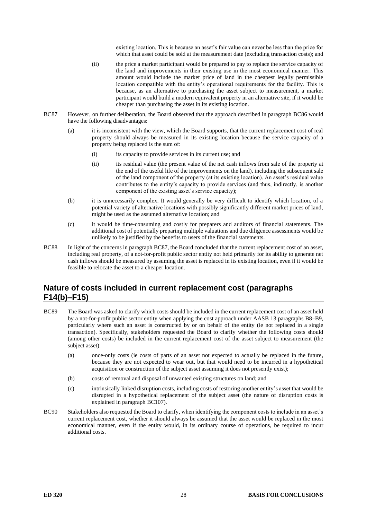existing location. This is because an asset's fair value can never be less than the price for which that asset could be sold at the measurement date (excluding transaction costs); and

- (ii) the price a market participant would be prepared to pay to replace the service capacity of the land and improvements in their existing use in the most economical manner. This amount would include the market price of land in the cheapest legally permissible location compatible with the entity's operational requirements for the facility. This is because, as an alternative to purchasing the asset subject to measurement, a market participant would build a modern equivalent property in an alternative site, if it would be cheaper than purchasing the asset in its existing location.
- <span id="page-27-0"></span>BC87 However, on further deliberation, the Board observed that the approach described in paragraph [BC86](#page-26-0) would have the following disadvantages:
	- (a) it is inconsistent with the view, which the Board supports, that the current replacement cost of real property should always be measured in its existing location because the service capacity of a property being replaced is the sum of:
		- (i) its capacity to provide services in its current use; and
		- (ii) its residual value (the present value of the net cash inflows from sale of the property at the end of the useful life of the improvements on the land), including the subsequent sale of the land component of the property (at its existing location). An asset's residual value contributes to the entity's capacity to provide services (and thus, indirectly, is another component of the existing asset's service capacity);
	- (b) it is unnecessarily complex. It would generally be very difficult to identify which location, of a potential variety of alternative locations with possibly significantly different market prices of land, might be used as the assumed alternative location; and
	- (c) it would be time-consuming and costly for preparers and auditors of financial statements. The additional cost of potentially preparing multiple valuations and due diligence assessments would be unlikely to be justified by the benefits to users of the financial statements.
- BC88 In light of the concerns in paragraph [BC87,](#page-27-0) the Board concluded that the current replacement cost of an asset, including real property, of a not-for-profit public sector entity not held primarily for its ability to generate net cash inflows should be measured by assuming the asset is replaced in its existing location, even if it would be feasible to relocate the asset to a cheaper location.

### **Nature of costs included in current replacement cost (paragraphs [F14\(](#page-11-6)b)[–F15\)](#page-12-0)**

- BC89 The Board was asked to clarify which costs should be included in the current replacement cost of an asset held by a not-for-profit public sector entity when applying the cost approach under AASB 13 paragraphs B8–B9, particularly where such an asset is constructed by or on behalf of the entity (ie not replaced in a single transaction). Specifically, stakeholders requested the Board to clarify whether the following costs should (among other costs) be included in the current replacement cost of the asset subject to measurement (the subject asset):
	- (a) once-only costs (ie costs of parts of an asset not expected to actually be replaced in the future, because they are not expected to wear out, but that would need to be incurred in a hypothetical acquisition or construction of the subject asset assuming it does not presently exist);
	- (b) costs of removal and disposal of unwanted existing structures on land; and
	- (c) intrinsically linked disruption costs, including costs of restoring another entity's asset that would be disrupted in a hypothetical replacement of the subject asset (the nature of disruption costs is explained in paragraph [BC107\)](#page-30-0).
- BC90 Stakeholders also requested the Board to clarify, when identifying the component costs to include in an asset's current replacement cost, whether it should always be assumed that the asset would be replaced in the most economical manner, even if the entity would, in its ordinary course of operations, be required to incur additional costs.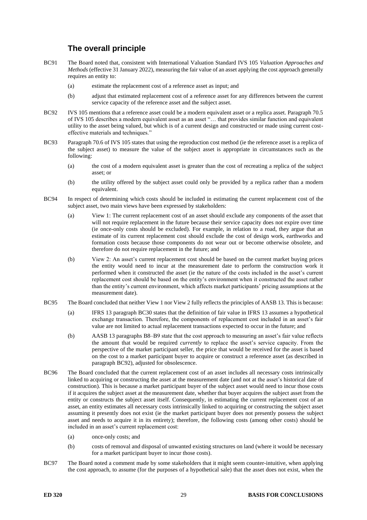# **The overall principle**

- BC91 The Board noted that, consistent with International Valuation Standard IVS 105 *Valuation Approaches and Methods* (effective 31 January 2022), measuring the fair value of an asset applying the cost approach generally requires an entity to:
	- (a) estimate the replacement cost of a reference asset as input; and
	- (b) adjust that estimated replacement cost of a reference asset for any differences between the current service capacity of the reference asset and the subject asset.
- <span id="page-28-0"></span>BC92 IVS 105 mentions that a reference asset could be a modern equivalent asset or a replica asset. Paragraph 70.5 of IVS 105 describes a modern equivalent asset as an asset "… that provides similar function and equivalent utility to the asset being valued, but which is of a current design and constructed or made using current costeffective materials and techniques."
- BC93 Paragraph 70.6 of IVS 105 states that using the reproduction cost method (ie the reference asset is a replica of the subject asset) to measure the value of the subject asset is appropriate in circumstances such as the following:
	- (a) the cost of a modern equivalent asset is greater than the cost of recreating a replica of the subject asset; or
	- (b) the utility offered by the subject asset could only be provided by a replica rather than a modern equivalent.
- BC94 In respect of determining which costs should be included in estimating the current replacement cost of the subject asset, two main views have been expressed by stakeholders:
	- (a) View 1: The current replacement cost of an asset should exclude any components of the asset that will not require replacement in the future because their service capacity does not expire over time (ie once-only costs should be excluded). For example, in relation to a road, they argue that an estimate of its current replacement cost should exclude the cost of design work, earthworks and formation costs because those components do not wear out or become otherwise obsolete, and therefore do not require replacement in the future; and
	- (b) View 2: An asset's current replacement cost should be based on the current market buying prices the entity would need to incur at the measurement date to perform the construction work it performed when it constructed the asset (ie the nature of the costs included in the asset's current replacement cost should be based on the entity's environment when it constructed the asset rather than the entity's current environment, which affects market participants' pricing assumptions at the measurement date).
- BC95 The Board concluded that neither View 1 nor View 2 fully reflects the principles of AASB 13. This is because:
	- (a) IFRS 13 paragraph BC30 states that the definition of fair value in IFRS 13 assumes a hypothetical exchange transaction. Therefore, the components of replacement cost included in an asset's fair value are not limited to actual replacement transactions expected to occur in the future; and
	- (b) AASB 13 paragraphs B8–B9 state that the cost approach to measuring an asset's fair value reflects the amount that would be required *currently* to replace the asset's service capacity. From the perspective of the market participant seller, the price that would be received for the asset is based on the cost to a market participant buyer to acquire or construct a reference asset (as described in paragrap[h BC92\)](#page-28-0), adjusted for obsolescence.
- BC96 The Board concluded that the current replacement cost of an asset includes all necessary costs intrinsically linked to acquiring or constructing the asset at the measurement date (and not at the asset's historical date of construction). This is because a market participant buyer of the subject asset would need to incur those costs if it acquires the subject asset at the measurement date, whether that buyer acquires the subject asset from the entity or constructs the subject asset itself. Consequently, in estimating the current replacement cost of an asset, an entity estimates all necessary costs intrinsically linked to acquiring or constructing the subject asset assuming it presently does not exist (ie the market participant buyer does not presently possess the subject asset and needs to acquire it in its entirety); therefore, the following costs (among other costs) should be included in an asset's current replacement cost:
	- (a) once-only costs; and
	- (b) costs of removal and disposal of unwanted existing structures on land (where it would be necessary for a market participant buyer to incur those costs).
- BC97 The Board noted a comment made by some stakeholders that it might seem counter-intuitive, when applying the cost approach, to assume (for the purposes of a hypothetical sale) that the asset does not exist, when the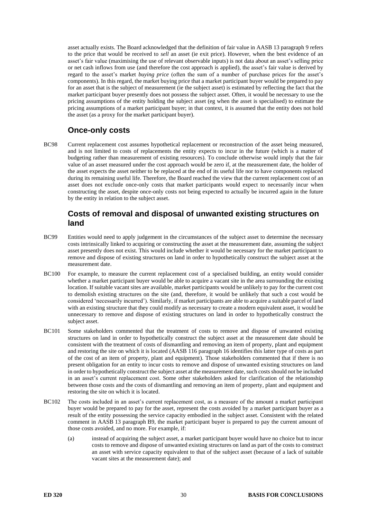asset actually exists. The Board acknowledged that the definition of fair value in AASB 13 paragraph 9 refers to the price that would be received to *sell* an asset (ie exit price). However, when the best evidence of an asset's fair value (maximising the use of relevant observable inputs) is not data about an asset's selling price or net cash inflows from use (and therefore the cost approach is applied), the asset's fair value is derived by regard to the asset's market *buying price* (often the sum of a number of purchase prices for the asset's components). In this regard, the market buying price that a market participant buyer would be prepared to pay for an asset that is the subject of measurement (ie the subject asset) is estimated by reflecting the fact that the market participant buyer presently does not possess the subject asset. Often, it would be necessary to use the pricing assumptions of the entity holding the subject asset (eg when the asset is specialised) to estimate the pricing assumptions of a market participant buyer; in that context, it is assumed that the entity does not hold the asset (as a proxy for the market participant buyer).

### **Once-only costs**

BC98 Current replacement cost assumes hypothetical replacement or reconstruction of the asset being measured, and is not limited to costs of replacements the entity expects to incur in the future (which is a matter of budgeting rather than measurement of existing resources). To conclude otherwise would imply that the fair value of an asset measured under the cost approach would be zero if, at the measurement date, the holder of the asset expects the asset neither to be replaced at the end of its useful life nor to have components replaced during its remaining useful life. Therefore, the Board reached the view that the current replacement cost of an asset does not exclude once-only costs that market participants would expect to necessarily incur when constructing the asset, despite once-only costs not being expected to actually be incurred again in the future by the entity in relation to the subject asset.

#### **Costs of removal and disposal of unwanted existing structures on land**

- BC99 Entities would need to apply judgement in the circumstances of the subject asset to determine the necessary costs intrinsically linked to acquiring or constructing the asset at the measurement date, assuming the subject asset presently does not exist. This would include whether it would be necessary for the market participant to remove and dispose of existing structures on land in order to hypothetically construct the subject asset at the measurement date.
- BC100 For example, to measure the current replacement cost of a specialised building, an entity would consider whether a market participant buyer would be able to acquire a vacant site in the area surrounding the existing location. If suitable vacant sites are available, market participants would be unlikely to pay for the current cost to demolish existing structures on the site (and, therefore, it would be unlikely that such a cost would be considered 'necessarily incurred'). Similarly, if market participants are able to acquire a suitable parcel of land with an existing structure that they could modify as necessary to create a modern equivalent asset, it would be unnecessary to remove and dispose of existing structures on land in order to hypothetically construct the subject asset.
- BC101 Some stakeholders commented that the treatment of costs to remove and dispose of unwanted existing structures on land in order to hypothetically construct the subject asset at the measurement date should be consistent with the treatment of costs of dismantling and removing an item of property, plant and equipment and restoring the site on which it is located (AASB 116 paragraph 16 identifies this latter type of costs as part of the cost of an item of property, plant and equipment). Those stakeholders commented that if there is no present obligation for an entity to incur costs to remove and dispose of unwanted existing structures on land in order to hypothetically construct the subject asset at the measurement date,such costs should not be included in an asset's current replacement cost. Some other stakeholders asked for clarification of the relationship between those costs and the costs of dismantling and removing an item of property, plant and equipment and restoring the site on which it is located.
- <span id="page-29-0"></span>BC102 The costs included in an asset's current replacement cost, as a measure of the amount a market participant buyer would be prepared to pay for the asset, represent the costs avoided by a market participant buyer as a result of the entity possessing the service capacity embodied in the subject asset. Consistent with the related comment in AASB 13 paragraph B9, the market participant buyer is prepared to pay the current amount of those costs avoided, and no more. For example, if:
	- (a) instead of acquiring the subject asset, a market participant buyer would have no choice but to incur costs to remove and dispose of unwanted existing structures on land as part of the costs to construct an asset with service capacity equivalent to that of the subject asset (because of a lack of suitable vacant sites at the measurement date); and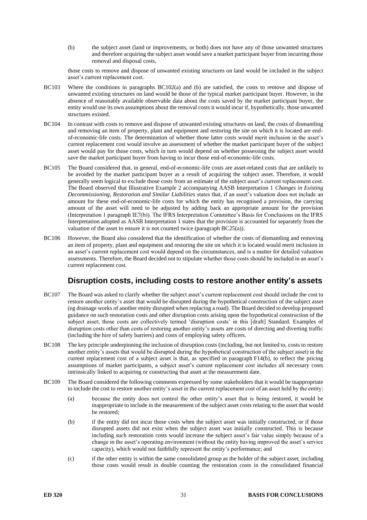(b) the subject asset (land or improvements, or both) does not have any of those unwanted structures and therefore acquiring the subject asset would save a market participant buyer from incurring those removal and disposal costs,

those costs to remove and dispose of unwanted existing structures on land would be included in the subject asset's current replacement cost.

- BC103 Where the conditions in paragraphs [BC102\(](#page-29-0)a) and (b) are satisfied, the costs to remove and dispose of unwanted existing structures on land would be those of the typical market participant buyer. However, in the absence of reasonably available observable data about the costs saved by the market participant buyer, the entity would use its own assumptions about the removal costs it would incur if, hypothetically, those unwanted structures existed.
- BC104 In contrast with costs to remove and dispose of unwanted existing structures on land, the costs of dismantling and removing an item of property, plant and equipment and restoring the site on which it is located are endof-economic-life costs. The determination of whether those latter costs would merit inclusion in the asset's current replacement cost would involve an assessment of whether the market participant buyer of the subject asset would pay for those costs, which in turn would depend on whether possessing the subject asset would save the market participant buyer from having to incur those end-of-economic-life costs.
- BC105 The Board considered that, in general, end-of-economic-life costs are asset-related costs that are unlikely to be avoided by the market participant buyer as a result of acquiring the subject asset. Therefore, it would generally seem logical to exclude those costs from an estimate of the subject asset's current replacement cost. The Board observed that Illustrative Example 2 accompanying AASB Interpretation 1 *Changes in Existing Decommissioning, Restoration and Similar Liabilities* states that, if an asset's valuation does not include an amount for these end-of-economic-life costs for which the entity has recognised a provision, the carrying amount of the asset will need to be adjusted by adding back an appropriate amount for the provision (Interpretation 1 paragraph IE7(b)). The IFRS Interpretation Committee's Basis for Conclusions on the IFRS Interpretation adopted as AASB Interpretation 1 states that the provision is accounted for separately from the valuation of the asset to ensure it is not counted twice (paragraph BC25(a)).
- BC106 However, the Board also considered that the identification of whether the costs of dismantling and removing an item of property, plant and equipment and restoring the site on which it is located would merit inclusion in an asset's current replacement cost would depend on the circumstances, and is a matter for detailed valuation assessments. Therefore, the Board decided not to stipulate whether those costs should be included in an asset's current replacement cost.

### **Disruption costs, including costs to restore another entity's assets**

- <span id="page-30-0"></span>BC107 The Board was asked to clarify whether the subject asset's current replacement cost should include the cost to restore another entity's asset that would be disrupted during the hypothetical construction of the subject asset (eg drainage works of another entity disrupted when replacing a road). The Board decided to develop proposed guidance on such restoration costs and other disruption costs arising upon the hypothetical construction of the subject asset; those costs are collectively termed 'disruption costs' in this [draft] Standard. Examples of disruption costs other than costs of restoring another entity's assets are costs of directing and diverting traffic (including the hire of safety barriers) and costs of employing safety officers.
- BC108 The key principle underpinning the inclusion of disruption costs (including, but not limited to, costs to restore another entity's assets that would be disrupted during the hypothetical construction of the subject asset) in the current replacement cost of a subject asset is that, as specified in paragraph [F14\(](#page-11-6)b), to reflect the pricing assumptions of market participants, a subject asset's current replacement cost includes all necessary costs intrinsically linked to acquiring or constructing that asset at the measurement date.
- <span id="page-30-1"></span>BC109 The Board considered the following comments expressed by some stakeholders that it would be inappropriate to include the cost to restore another entity's asset in the current replacement cost of an asset held by the entity:
	- (a) because the entity does not control the other entity's asset that is being restored, it would be inappropriate to include in the measurement of the subject asset costs relating to the asset that would be restored;
	- (b) if the entity did not incur those costs when the subject asset was initially constructed, or if those disrupted assets did not exist when the subject asset was initially constructed. This is because including such restoration costs would increase the subject asset's fair value simply because of a change in the asset's operating environment (without the entity having improved the asset's service capacity), which would not faithfully represent the entity's performance; and
	- (c) if the other entity is within the same consolidated group as the holder of the subject asset, including those costs would result in double counting the restoration costs in the consolidated financial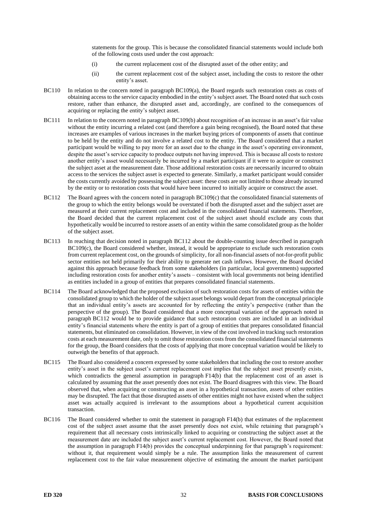statements for the group. This is because the consolidated financial statements would include both of the following costs used under the cost approach:

- (i) the current replacement cost of the disrupted asset of the other entity; and
- (ii) the current replacement cost of the subject asset, including the costs to restore the other entity's asset.
- BC110 In relation to the concern noted in paragraph [BC109\(](#page-30-1)a), the Board regards such restoration costs as costs of obtaining access to the service capacity embodied in the entity's subject asset. The Board noted that such costs restore, rather than enhance, the disrupted asset and, accordingly, are confined to the consequences of acquiring or replacing the entity's subject asset.
- BC111 In relation to the concern noted in paragraph [BC109\(](#page-30-1)b) about recognition of an increase in an asset's fair value without the entity incurring a related cost (and therefore a gain being recognised), the Board noted that these increases are examples of various increases in the market buying prices of components of assets that continue to be held by the entity and do not involve a related cost to the entity. The Board considered that a market participant would be willing to pay more for an asset due to the change in the asset's operating environment, despite the asset's service capacity to produce outputs not having improved. This is because all costs to restore another entity's asset would necessarily be incurred by a market participant if it were to acquire or construct the subject asset at the measurement date. Those additional restoration costs are necessarily incurred to obtain access to the services the subject asset is expected to generate. Similarly, a market participant would consider the costs currently avoided by possessing the subject asset: these costs are not limited to those already incurred by the entity or to restoration costs that would have been incurred to initially acquire or construct the asset.
- <span id="page-31-0"></span>BC112 The Board agrees with the concern noted in paragraph [BC109\(](#page-30-1)c) that the consolidated financial statements of the group to which the entity belongs would be overstated if both the disrupted asset and the subject asset are measured at their current replacement cost and included in the consolidated financial statements. Therefore, the Board decided that the current replacement cost of the subject asset should exclude any costs that hypothetically would be incurred to restore assets of an entity within the same consolidated group as the holder of the subject asset.
- BC113 In reaching that decision noted in paragraph [BC112](#page-31-0) about the double-counting issue described in paragraph [BC109\(](#page-30-1)c), the Board considered whether, instead, it would be appropriate to exclude such restoration costs from current replacement cost, on the grounds of simplicity, for all non-financial assets of not-for-profit public sector entities not held primarily for their ability to generate net cash inflows. However, the Board decided against this approach because feedback from some stakeholders (in particular, local governments) supported including restoration costs for another entity's assets – consistent with local governments not being identified as entities included in a group of entities that prepares consolidated financial statements.
- BC114 The Board acknowledged that the proposed exclusion of such restoration costs for assets of entities within the consolidated group to which the holder of the subject asset belongs would depart from the conceptual principle that an individual entity's assets are accounted for by reflecting the entity's perspective (rather than the perspective of the group). The Board considered that a more conceptual variation of the approach noted in paragraph [BC112](#page-31-0) would be to provide guidance that such restoration costs are included in an individual entity's financial statements where the entity is part of a group of entities that prepares consolidated financial statements, but eliminated on consolidation. However, in view of the cost involved in tracking such restoration costs at each measurement date, only to omit those restoration costs from the consolidated financial statements for the group, the Board considers that the costs of applying that more conceptual variation would be likely to outweigh the benefits of that approach.
- BC115 The Board also considered a concern expressed by some stakeholders that including the cost to restore another entity's asset in the subject asset's current replacement cost implies that the subject asset presently exists, which contradicts the general assumption in paragraph [F14\(](#page-11-6)b) that the replacement cost of an asset is calculated by assuming that the asset presently does not exist. The Board disagrees with this view. The Board observed that, when acquiring or constructing an asset in a hypothetical transaction, assets of other entities may be disrupted. The fact that those disrupted assets of other entities might not have existed when the subject asset was actually acquired is irrelevant to the assumptions about a hypothetical current acquisition transaction.
- BC116 The Board considered whether to omit the statement in paragraph [F14\(](#page-11-6)b) that estimates of the replacement cost of the subject asset assume that the asset presently does not exist, while retaining that paragraph's requirement that all necessary costs intrinsically linked to acquiring or constructing the subject asset at the measurement date are included the subject asset's current replacement cost. However, the Board noted that the assumption in paragraph [F14\(](#page-11-6)b) provides the conceptual underpinning for that paragraph's requirement: without it, that requirement would simply be a rule. The assumption links the measurement of current replacement cost to the fair value measurement objective of estimating the amount the market participant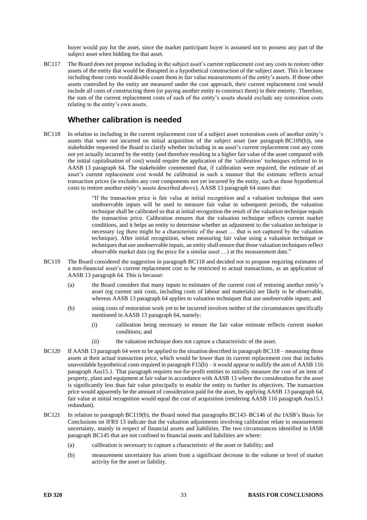buyer would pay for the asset, since the market participant buyer is assumed not to possess any part of the subject asset when bidding for that asset.

BC117 The Board does not propose including in the subject asset's current replacement cost any costs to restore other assets of the entity that would be disrupted in a hypothetical construction of the subject asset. This is because including those costs would double count them in fair value measurements of the entity's assets. If those other assets controlled by the entity are measured under the cost approach, their current replacement cost would include all costs of constructing them (or paying another entity to construct them) in their entirety. Therefore, the sum of the current replacement costs of each of the entity's assets should exclude any restoration costs relating to the entity's own assets.

#### **Whether calibration is needed**

<span id="page-32-0"></span>BC118 In relation to including in the current replacement cost of a subject asset restoration costs of another entity's assets that were not incurred on initial acquisition of the subject asset (see paragraph [BC109\(](#page-30-1)b)), one stakeholder requested the Board to clarify whether including in an asset's current replacement cost any costs not yet actually incurred by the entity (and therefore resulting in a higher fair value of the asset compared with the initial capitalisation of cost) would require the application of the 'calibration' techniques referred to in AASB 13 paragraph 64. The stakeholder commented that, if calibration were required, the estimate of an asset's current replacement cost would be calibrated in such a manner that the estimate reflects actual transaction prices (ie excludes any cost components not yet incurred by the entity, such as those hypothetical costs to restore another entity's assets described above). AASB 13 paragraph 64 states that:

> "If the transaction price is fair value at initial recognition and a valuation technique that uses unobservable inputs will be used to measure fair value in subsequent periods, the valuation technique shall be calibrated so that at initial recognition the result of the valuation technique equals the transaction price. Calibration ensures that the valuation technique reflects current market conditions, and it helps an entity to determine whether an adjustment to the valuation technique is necessary (eg there might be a characteristic of the asset … that is not captured by the valuation technique). After initial recognition, when measuring fair value using a valuation technique or techniques that use unobservable inputs, an entity shall ensure that those valuation techniques reflect observable market data (eg the price for a similar asset …) at the measurement date."

- <span id="page-32-1"></span>BC119 The Board considered the suggestion in paragraph [BC118](#page-32-0) and decided not to propose requiring estimates of a non-financial asset's current replacement cost to be restricted to actual transactions, as an application of AASB 13 paragraph 64. This is because:
	- (a) the Board considers that many inputs to estimates of the current cost of restoring another entity's asset (eg current unit costs, including costs of labour and materials) are likely to be observable, whereas AASB 13 paragraph 64 applies to valuation techniques that use unobservable inputs; and
	- (b) using costs of restoration work yet to be incurred involves neither of the circumstances specifically mentioned in AASB 13 paragraph 64, namely:
		- (i) calibration being necessary to ensure the fair value estimate reflects current market conditions; and
		- (ii) the valuation technique does not capture a characteristic of the asset.
- BC120 If AASB 13 paragraph 64 were to be applied to the situation described in paragraph [BC118](#page-32-0) measuring those assets at their actual transaction price, which would be lower than its current replacement cost that includes unavoidable hypothetical costs required in paragrap[h F15\(](#page-12-0)b) – it would appear to nullify the aim of AASB 116 paragraph Aus15.1. That paragraph requires not-for-profit entities to initially measure the cost of an item of property, plant and equipment at fair value in accordance with AASB 13 where the consideration for the asset is significantly less than fair value principally to enable the entity to further its objectives. The transaction price would apparently be the amount of consideration paid for the asset, by applying AASB 13 paragraph 64, fair value at initial recognition would equal the cost of acquisition (rendering AASB 116 paragraph Aus15.1 redundant).
- <span id="page-32-2"></span>BC121 In relation to paragraph [BC119\(](#page-32-1)b), the Board noted that paragraphs BC143–BC146 of the IASB's Basis for Conclusions on IFRS 13 indicate that the valuation adjustments involving calibration relate to measurement uncertainty, mainly in respect of financial assets and liabilities. The two circumstances identified in IASB paragraph BC145 that are not confined to financial assets and liabilities are where:
	- (a) calibration is necessary to capture a characteristic of the asset or liability; and
	- (b) measurement uncertainty has arisen from a significant decrease in the volume or level of market activity for the asset or liability.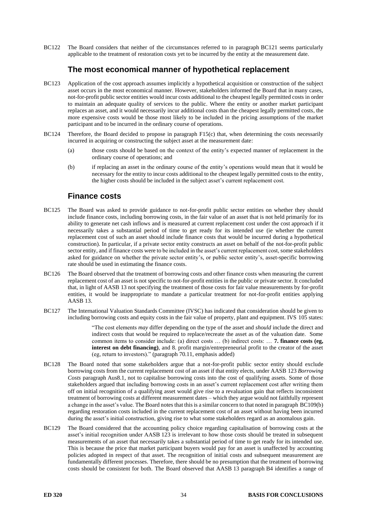BC122 The Board considers that neither of the circumstances referred to in paragraph [BC121](#page-32-2) seems particularly applicable to the treatment of restoration costs yet to be incurred by the entity at the measurement date.

#### **The most economical manner of hypothetical replacement**

- BC123 Application of the cost approach assumes implicitly a hypothetical acquisition or construction of the subject asset occurs in the most economical manner. However, stakeholders informed the Board that in many cases, not-for-profit public sector entities would incur costs additional to the cheapest legally permitted costs in order to maintain an adequate quality of services to the public. Where the entity or another market participant replaces an asset, and it would necessarily incur additional costs than the cheapest legally permitted costs, the more expensive costs would be those most likely to be included in the pricing assumptions of the market participant and to be incurred in the ordinary course of operations.
- BC124 Therefore, the Board decided to propose in paragraph [F15\(](#page-12-0)c) that, when determining the costs necessarily incurred in acquiring or constructing the subject asset at the measurement date:
	- (a) those costs should be based on the context of the entity's expected manner of replacement in the ordinary course of operations; and
	- (b) if replacing an asset in the ordinary course of the entity's operations would mean that it would be necessary for the entity to incur costs additional to the cheapest legally permitted costs to the entity, the higher costs should be included in the subject asset's current replacement cost.

#### **Finance costs**

- BC125 The Board was asked to provide guidance to not-for-profit public sector entities on whether they should include finance costs, including borrowing costs, in the fair value of an asset that is not held primarily for its ability to generate net cash inflows and is measured at current replacement cost under the cost approach if it necessarily takes a substantial period of time to get ready for its intended use (ie whether the current replacement cost of such an asset should include finance costs that would be incurred during a hypothetical construction). In particular, if a private sector entity constructs an asset on behalf of the not-for-profit public sector entity, and if finance costs were to be included in the asset's current replacement cost, some stakeholders asked for guidance on whether the private sector entity's, or public sector entity's, asset-specific borrowing rate should be used in estimating the finance costs.
- BC126 The Board observed that the treatment of borrowing costs and other finance costs when measuring the current replacement cost of an asset is not specific to not-for-profit entities in the public or private sector. It concluded that, in light of AASB 13 not specifying the treatment of those costs for fair value measurements by for-profit entities, it would be inappropriate to mandate a particular treatment for not-for-profit entities applying AASB 13.
- BC127 The International Valuation Standards Committee (IVSC) has indicated that consideration should be given to including borrowing costs and equity costs in the fair value of property, plant and equipment. IVS 105 states:

"The cost elements *may* differ depending on the type of the asset and *should* include the direct and indirect costs that would be required to replace/recreate the asset as of the valuation date. Some common items to consider include: (a) direct costs … (b) indirect costs: … **7. finance costs (eg, interest on debt financing)**, and 8. profit margin/entrepreneurial profit to the creator of the asset (eg, return to investors)." (paragraph 70.11, emphasis added)

- BC128 The Board noted that some stakeholders argue that a not-for-profit public sector entity should exclude borrowing costs from the current replacement cost of an asset if that entity elects, under AASB 123 *Borrowing Costs* paragraph Aus8.1, not to capitalise borrowing costs into the cost of qualifying assets. Some of those stakeholders argued that including borrowing costs in an asset's current replacement cost after writing them off on initial recognition of a qualifying asset would give rise to a revaluation gain that reflects inconsistent treatment of borrowing costs at different measurement dates – which they argue would not faithfully represent a change in the asset's value. The Board notes that this is a similar concern to that noted in paragraph [BC109\(](#page-30-1)b) regarding restoration costs included in the current replacement cost of an asset without having been incurred during the asset's initial construction, giving rise to what some stakeholders regard as an anomalous gain.
- BC129 The Board considered that the accounting policy choice regarding capitalisation of borrowing costs at the asset's initial recognition under AASB 123 is irrelevant to how those costs should be treated in subsequent measurements of an asset that necessarily takes a substantial period of time to get ready for its intended use. This is because the price that market participant buyers would pay for an asset is unaffected by accounting policies adopted in respect of that asset. The recognition of initial costs and subsequent measurement are fundamentally different processes. Therefore, there should be no presumption that the treatment of borrowing costs should be consistent for both. The Board observed that AASB 13 paragraph B4 identifies a range of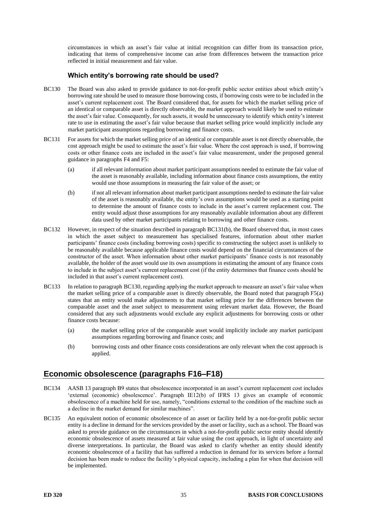circumstances in which an asset's fair value at initial recognition can differ from its transaction price, indicating that items of comprehensive income can arise from differences between the transaction price reflected in initial measurement and fair value.

#### **Which entity's borrowing rate should be used?**

- <span id="page-34-1"></span>BC130 The Board was also asked to provide guidance to not-for-profit public sector entities about which entity's borrowing rate should be used to measure those borrowing costs, if borrowing costs were to be included in the asset's current replacement cost. The Board considered that, for assets for which the market selling price of an identical or comparable asset is directly observable, the market approach would likely be used to estimate the asset's fair value. Consequently, for such assets, it would be unnecessary to identify which entity's interest rate to use in estimating the asset's fair value because that market selling price would implicitly include any market participant assumptions regarding borrowing and finance costs.
- <span id="page-34-0"></span>BC131 For assets for which the market selling price of an identical or comparable asset is not directly observable, the cost approach might be used to estimate the asset's fair value. Where the cost approach is used, if borrowing costs or other finance costs are included in the asset's fair value measurement, under the proposed general guidance in paragraphs [F4](#page-10-0) and [F5:](#page-10-2)
	- (a) if all relevant information about market participant assumptions needed to estimate the fair value of the asset is reasonably available, including information about finance costs assumptions, the entity would use those assumptions in measuring the fair value of the asset; or
	- (b) if not all relevant information about market participant assumptions needed to estimate the fair value of the asset is reasonably available, the entity's own assumptions would be used as a starting point to determine the amount of finance costs to include in the asset's current replacement cost. The entity would adjust those assumptions for any reasonably available information about any different data used by other market participants relating to borrowing and other finance costs.
- BC132 However, in respect of the situation described in paragraph [BC131\(](#page-34-0)b), the Board observed that, in most cases in which the asset subject to measurement has specialised features, information about other market participants' finance costs (including borrowing costs) specific to constructing the subject asset is unlikely to be reasonably available because applicable finance costs would depend on the financial circumstances of the constructor of the asset. When information about other market participants' finance costs is not reasonably available, the holder of the asset would use its own assumptions in estimating the amount of any finance costs to include in the subject asset's current replacement cost (if the entity determines that finance costs should be included in that asset's current replacement cost).
- BC133 In relation to paragraph [BC130,](#page-34-1) regarding applying the market approach to measure an asset's fair value when the market selling price of a comparable asset is directly observable, the Board noted that paragraph [F5\(](#page-10-2)a) states that an entity would make adjustments to that market selling price for the differences between the comparable asset and the asset subject to measurement using relevant market data. However, the Board considered that any such adjustments would exclude any explicit adjustments for borrowing costs or other finance costs because:
	- (a) the market selling price of the comparable asset would implicitly include any market participant assumptions regarding borrowing and finance costs; and
	- (b) borrowing costs and other finance costs considerations are only relevant when the cost approach is applied.

### **Economic obsolescence (paragraphs [F16](#page-12-1)[–F18\)](#page-12-3)**

- BC134 AASB 13 paragraph B9 states that obsolescence incorporated in an asset's current replacement cost includes 'external (economic) obsolescence'. Paragraph IE12(b) of IFRS 13 gives an example of economic obsolescence of a machine held for use, namely, "conditions external to the condition of the machine such as a decline in the market demand for similar machines".
- BC135 An equivalent notion of economic obsolescence of an asset or facility held by a not-for-profit public sector entity is a decline in demand for the services provided by the asset or facility, such as a school. The Board was asked to provide guidance on the circumstances in which a not-for-profit public sector entity should identify economic obsolescence of assets measured at fair value using the cost approach, in light of uncertainty and diverse interpretations. In particular, the Board was asked to clarify whether an entity should identify economic obsolescence of a facility that has suffered a reduction in demand for its services before a formal decision has been made to reduce the facility's physical capacity, including a plan for when that decision will be implemented.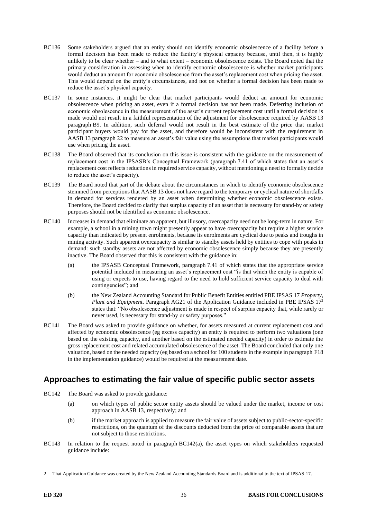- BC136 Some stakeholders argued that an entity should not identify economic obsolescence of a facility before a formal decision has been made to reduce the facility's physical capacity because, until then, it is highly unlikely to be clear whether – and to what extent – economic obsolescence exists. The Board noted that the primary consideration in assessing when to identify economic obsolescence is whether market participants would deduct an amount for economic obsolescence from the asset's replacement cost when pricing the asset. This would depend on the entity's circumstances, and not on whether a formal decision has been made to reduce the asset's physical capacity.
- BC137 In some instances, it might be clear that market participants would deduct an amount for economic obsolescence when pricing an asset, even if a formal decision has not been made. Deferring inclusion of economic obsolescence in the measurement of the asset's current replacement cost until a formal decision is made would not result in a faithful representation of the adjustment for obsolescence required by AASB 13 paragraph B9. In addition, such deferral would not result in the best estimate of the price that market participant buyers would pay for the asset, and therefore would be inconsistent with the requirement in AASB 13 paragraph 22 to measure an asset's fair value using the assumptions that market participants would use when pricing the asset.
- BC138 The Board observed that its conclusion on this issue is consistent with the guidance on the measurement of replacement cost in the IPSASB's Conceptual Framework (paragraph 7.41 of which states that an asset's replacement cost reflects reductions in required service capacity, without mentioning a need to formally decide to reduce the asset's capacity).
- BC139 The Board noted that part of the debate about the circumstances in which to identify economic obsolescence stemmed from perceptions that AASB 13 does not have regard to the temporary or cyclical nature of shortfalls in demand for services rendered by an asset when determining whether economic obsolescence exists. Therefore, the Board decided to clarify that surplus capacity of an asset that is necessary for stand-by or safety purposes should not be identified as economic obsolescence.
- BC140 Increases in demand that eliminate an apparent, but illusory, overcapacity need not be long-term in nature. For example, a school in a mining town might presently appear to have overcapacity but require a higher service capacity than indicated by present enrolments, because its enrolments are cyclical due to peaks and troughs in mining activity. Such apparent overcapacity is similar to standby assets held by entities to cope with peaks in demand: such standby assets are not affected by economic obsolescence simply because they are presently inactive. The Board observed that this is consistent with the guidance in:
	- (a) the IPSASB Conceptual Framework, paragraph 7.41 of which states that the appropriate service potential included in measuring an asset's replacement cost "is that which the entity is capable of using or expects to use, having regard to the need to hold sufficient service capacity to deal with contingencies"; and
	- (b) the New Zealand Accounting Standard for Public Benefit Entities entitled PBE IPSAS 17 *Property, Plant and Equipment*. Paragraph AG21 of the Application Guidance included in PBE IPSAS 17<sup>2</sup> states that: "No obsolescence adjustment is made in respect of surplus capacity that, while rarely or never used, is necessary for stand-by or safety purposes."
- BC141 The Board was asked to provide guidance on whether, for assets measured at current replacement cost and affected by economic obsolescence (eg excess capacity) an entity is required to perform two valuations (one based on the existing capacity, and another based on the estimated needed capacity) in order to estimate the gross replacement cost and related accumulated obsolescence of the asset. The Board concluded that only one valuation, based on the needed capacity (eg based on a school for 100 students in the example in paragraph [F18](#page-12-3) in the implementation guidance) would be required at the measurement date.

### **Approaches to estimating the fair value of specific public sector assets**

- <span id="page-35-0"></span>BC142 The Board was asked to provide guidance:
	- (a) on which types of public sector entity assets should be valued under the market, income or cost approach in AASB 13, respectively; and
	- (b) if the market approach is applied to measure the fair value of assets subject to public-sector-specific restrictions, on the quantum of the discounts deducted from the price of comparable assets that are not subject to those restrictions.
- BC143 In relation to the request noted in paragraph [BC142\(](#page-35-0)a), the asset types on which stakeholders requested guidance include:

<sup>2</sup> That Application Guidance was created by the New Zealand Accounting Standards Board and is additional to the text of IPSAS 17.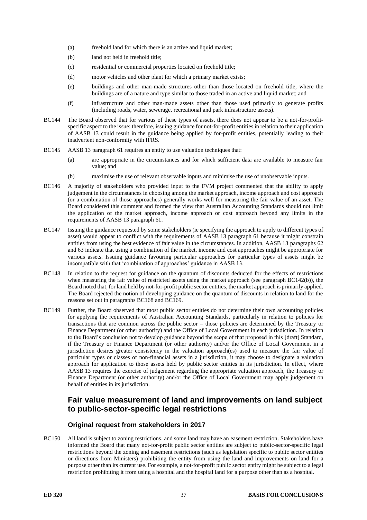- (a) freehold land for which there is an active and liquid market;
- (b) land not held in freehold title;
- (c) residential or commercial properties located on freehold title;
- (d) motor vehicles and other plant for which a primary market exists;
- (e) buildings and other man-made structures other than those located on freehold title, where the buildings are of a nature and type similar to those traded in an active and liquid market; and
- (f) infrastructure and other man-made assets other than those used primarily to generate profits (including roads, water, sewerage, recreational and park infrastructure assets).
- BC144 The Board observed that for various of these types of assets, there does not appear to be a not-for-profitspecific aspect to the issue; therefore, issuing guidance for not-for-profit entities in relation to their application of AASB 13 could result in the guidance being applied by for-profit entities, potentially leading to their inadvertent non-conformity with IFRS.
- BC145 AASB 13 paragraph 61 requires an entity to use valuation techniques that:
	- (a) are appropriate in the circumstances and for which sufficient data are available to measure fair value; and
	- (b) maximise the use of relevant observable inputs and minimise the use of unobservable inputs.
- BC146 A majority of stakeholders who provided input to the FVM project commented that the ability to apply judgement in the circumstances in choosing among the market approach, income approach and cost approach (or a combination of those approaches) generally works well for measuring the fair value of an asset. The Board considered this comment and formed the view that Australian Accounting Standards should not limit the application of the market approach, income approach or cost approach beyond any limits in the requirements of AASB 13 paragraph 61.
- BC147 Issuing the guidance requested by some stakeholders (ie specifying the approach to apply to different types of asset) would appear to conflict with the requirements of AASB 13 paragraph 61 because it might constrain entities from using the best evidence of fair value in the circumstances. In addition, AASB 13 paragraphs 62 and 63 indicate that using a combination of the market, income and cost approaches might be appropriate for various assets. Issuing guidance favouring particular approaches for particular types of assets might be incompatible with that 'combination of approaches' guidance in AASB 13.
- BC148 In relation to the request for guidance on the quantum of discounts deducted for the effects of restrictions when measuring the fair value of restricted assets using the market approach (see paragraph [BC142\(](#page-35-0)b)), the Board noted that, for land held by not-for-profit public sector entities, the market approach is primarily applied. The Board rejected the notion of developing guidance on the quantum of discounts in relation to land for the reasons set out in paragraphs [BC168](#page-39-1) an[d BC169.](#page-39-2)
- <span id="page-36-0"></span>BC149 Further, the Board observed that most public sector entities do not determine their own accounting policies for applying the requirements of Australian Accounting Standards, particularly in relation to policies for transactions that are common across the public sector – those policies are determined by the Treasury or Finance Department (or other authority) and the Office of Local Government in each jurisdiction. In relation to the Board's conclusion not to develop guidance beyond the scope of that proposed in this [draft] Standard, if the Treasury or Finance Department (or other authority) and/or the Office of Local Government in a jurisdiction desires greater consistency in the valuation approach(es) used to measure the fair value of particular types or classes of non-financial assets in a jurisdiction, it may choose to designate a valuation approach for application to those assets held by public sector entities in its jurisdiction. In effect, where AASB 13 requires the exercise of judgement regarding the appropriate valuation approach, the Treasury or Finance Department (or other authority) and/or the Office of Local Government may apply judgement on behalf of entities in its jurisdiction.

#### **Fair value measurement of land and improvements on land subject to public-sector-specific legal restrictions**

#### **Original request from stakeholders in 2017**

BC150 All land is subject to zoning restrictions, and some land may have an easement restriction. Stakeholders have informed the Board that many not-for-profit public sector entities are subject to public-sector-specific legal restrictions beyond the zoning and easement restrictions (such as legislation specific to public sector entities or directions from Ministers) prohibiting the entity from using the land and improvements on land for a purpose other than its current use. For example, a not-for-profit public sector entity might be subject to a legal restriction prohibiting it from using a hospital and the hospital land for a purpose other than as a hospital.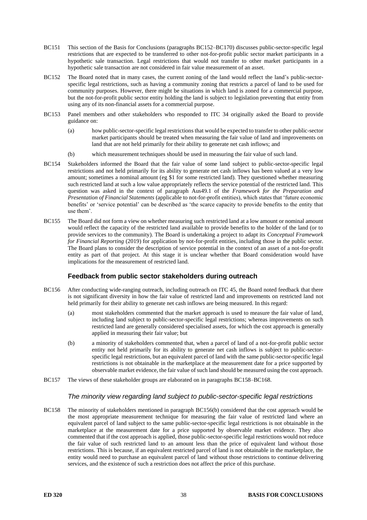- BC151 This section of the Basis for Conclusions (paragraphs [BC152–](#page-37-0)[BC170\)](#page-39-0) discusses public-sector-specific legal restrictions that are expected to be transferred to other not-for-profit public sector market participants in a hypothetic sale transaction. Legal restrictions that would not transfer to other market participants in a hypothetic sale transaction are not considered in fair value measurement of an asset.
- <span id="page-37-0"></span>BC152 The Board noted that in many cases, the current zoning of the land would reflect the land's public-sectorspecific legal restrictions, such as having a community zoning that restricts a parcel of land to be used for community purposes. However, there might be situations in which land is zoned for a commercial purpose, but the not-for-profit public sector entity holding the land is subject to legislation preventing that entity from using any of its non-financial assets for a commercial purpose.
- BC153 Panel members and other stakeholders who responded to ITC 34 originally asked the Board to provide guidance on:
	- (a) how public-sector-specific legal restrictions that would be expected to transfer to other public-sector market participants should be treated when measuring the fair value of land and improvements on land that are not held primarily for their ability to generate net cash inflows; and
	- (b) which measurement techniques should be used in measuring the fair value of such land.
- BC154 Stakeholders informed the Board that the fair value of some land subject to public-sector-specific legal restrictions and not held primarily for its ability to generate net cash inflows has been valued at a very low amount; sometimes a nominal amount (eg \$1 for some restricted land). They questioned whether measuring such restricted land at such a low value appropriately reflects the service potential of the restricted land. This question was asked in the context of paragraph Aus49.1 of the *Framework for the Preparation and Presentation of Financial Statements* (applicable to not-for-profit entities), which states that 'future economic benefits' or 'service potential' can be described as 'the scarce capacity to provide benefits to the entity that use them'.
- BC155 The Board did not form a view on whether measuring such restricted land at a low amount or nominal amount would reflect the capacity of the restricted land available to provide benefits to the holder of the land (or to provide services to the community). The Board is undertaking a project to adapt its *Conceptual Framework for Financial Reporting* (2019) for application by not-for-profit entities, including those in the public sector. The Board plans to consider the description of service potential in the context of an asset of a not-for-profit entity as part of that project. At this stage it is unclear whether that Board consideration would have implications for the measurement of restricted land.

#### **Feedback from public sector stakeholders during outreach**

- <span id="page-37-2"></span>BC156 After conducting wide-ranging outreach, including outreach on ITC 45, the Board noted feedback that there is not significant diversity in how the fair value of restricted land and improvements on restricted land not held primarily for their ability to generate net cash inflows are being measured. In this regard:
	- (a) most stakeholders commented that the market approach is used to measure the fair value of land, including land subject to public-sector-specific legal restrictions; whereas improvements on such restricted land are generally considered specialised assets, for which the cost approach is generally applied in measuring their fair value; but
	- (b) a minority of stakeholders commented that, when a parcel of land of a not-for-profit public sector entity not held primarily for its ability to generate net cash inflows is subject to public-sectorspecific legal restrictions, but an equivalent parcel of land with the same public-sector-specific legal restrictions is not obtainable in the marketplace at the measurement date for a price supported by observable market evidence, the fair value of such land should be measured using the cost approach.
- BC157 The views of these stakeholder groups are elaborated on in paragraphs [BC158](#page-37-1)[–BC168.](#page-39-3)

#### *The minority view regarding land subject to public-sector-specific legal restrictions*

<span id="page-37-1"></span>BC158 The minority of stakeholders mentioned in paragraph [BC156\(](#page-37-2)b) considered that the cost approach would be the most appropriate measurement technique for measuring the fair value of restricted land where an equivalent parcel of land subject to the same public-sector-specific legal restrictions is not obtainable in the marketplace at the measurement date for a price supported by observable market evidence. They also commented that if the cost approach is applied, those public-sector-specific legal restrictions would not reduce the fair value of such restricted land to an amount less than the price of equivalent land without those restrictions. This is because, if an equivalent restricted parcel of land is not obtainable in the marketplace, the entity would need to purchase an equivalent parcel of land without those restrictions to continue delivering services, and the existence of such a restriction does not affect the price of this purchase.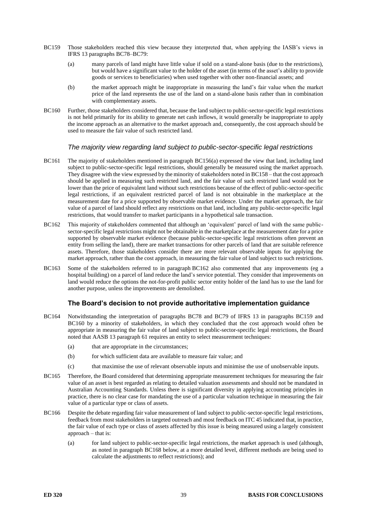- <span id="page-38-2"></span>BC159 Those stakeholders reached this view because they interpreted that, when applying the IASB's views in IFRS 13 paragraphs BC78–BC79:
	- (a) many parcels of land might have little value if sold on a stand-alone basis (due to the restrictions), but would have a significant value to the holder of the asset (in terms of the asset's ability to provide goods or services to beneficiaries) when used together with other non-financial assets; and
	- (b) the market approach might be inappropriate in measuring the land's fair value when the market price of the land represents the use of the land on a stand-alone basis rather than in combination with complementary assets.
- <span id="page-38-3"></span>BC160 Further, those stakeholders considered that, because the land subject to public-sector-specific legal restrictions is not held primarily for its ability to generate net cash inflows, it would generally be inappropriate to apply the income approach as an alternative to the market approach and, consequently, the cost approach should be used to measure the fair value of such restricted land.

#### *The majority view regarding land subject to public-sector-specific legal restrictions*

- BC161 The majority of stakeholders mentioned in paragraph [BC156\(](#page-37-2)a) expressed the view that land, including land subject to public-sector-specific legal restrictions, should generally be measured using the market approach. They disagree with the view expressed by the minority of stakeholders noted i[n BC158](#page-37-1) – that the cost approach should be applied in measuring such restricted land, and the fair value of such restricted land would not be lower than the price of equivalent land without such restrictions because of the effect of public-sector-specific legal restrictions, if an equivalent restricted parcel of land is not obtainable in the marketplace at the measurement date for a price supported by observable market evidence. Under the market approach, the fair value of a parcel of land should reflect any restrictions on that land, including any public-sector-specific legal restrictions, that would transfer to market participants in a hypothetical sale transaction.
- <span id="page-38-1"></span>BC162 This majority of stakeholders commented that although an 'equivalent' parcel of land with the same publicsector-specific legal restrictions might not be obtainable in the marketplace at the measurement date for a price supported by observable market evidence (because public-sector-specific legal restrictions often prevent an entity from selling the land), there are market transactions for other parcels of land that are suitable reference assets. Therefore, those stakeholders consider there are more relevant observable inputs for applying the market approach, rather than the cost approach, in measuring the fair value of land subject to such restrictions.
- BC163 Some of the stakeholders referred to in paragraph [BC162](#page-38-1) also commented that any improvements (eg a hospital building) on a parcel of land reduce the land's service potential. They consider that improvements on land would reduce the options the not-for-profit public sector entity holder of the land has to use the land for another purpose, unless the improvements are demolished.

#### **The Board's decision to not provide authoritative implementation guidance**

- <span id="page-38-0"></span>BC164 Notwithstanding the interpretation of paragraphs BC78 and BC79 of IFRS 13 in paragraphs [BC159](#page-38-2) and [BC160](#page-38-3) by a minority of stakeholders, in which they concluded that the cost approach would often be appropriate in measuring the fair value of land subject to public-sector-specific legal restrictions, the Board noted that AASB 13 paragraph 61 requires an entity to select measurement techniques:
	- (a) that are appropriate in the circumstances;
	- (b) for which sufficient data are available to measure fair value; and
	- (c) that maximise the use of relevant observable inputs and minimise the use of unobservable inputs.
- BC165 Therefore, the Board considered that determining appropriate measurement techniques for measuring the fair value of an asset is best regarded as relating to detailed valuation assessments and should not be mandated in Australian Accounting Standards. Unless there is significant diversity in applying accounting principles in practice, there is no clear case for mandating the use of a particular valuation technique in measuring the fair value of a particular type or class of assets.
- BC166 Despite the debate regarding fair value measurement of land subject to public-sector-specific legal restrictions, feedback from most stakeholders in targeted outreach and most feedback on ITC 45 indicated that, in practice, the fair value of each type or class of assets affected by this issue is being measured using a largely consistent approach – that is:
	- (a) for land subject to public-sector-specific legal restrictions, the market approach is used (although, as noted in paragraph [BC168](#page-39-3) below, at a more detailed level, different methods are being used to calculate the adjustments to reflect restrictions); and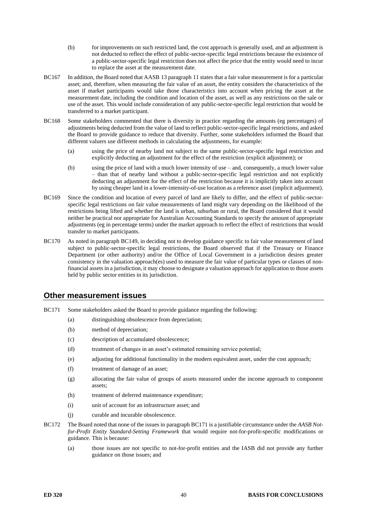- (b) for improvements on such restricted land, the cost approach is generally used, and an adjustment is not deducted to reflect the effect of public-sector-specific legal restrictions because the existence of a public-sector-specific legal restriction does not affect the price that the entity would need to incur to replace the asset at the measurement date.
- BC167 In addition, the Board noted that AASB 13 paragraph 11 states that a fair value measurement is for a particular asset; and, therefore, when measuring the fair value of an asset, the entity considers the characteristics of the asset if market participants would take those characteristics into account when pricing the asset at the measurement date, including the condition and location of the asset, as well as any restrictions on the sale or use of the asset. This would include consideration of any public-sector-specific legal restriction that would be transferred to a market participant.
- <span id="page-39-3"></span><span id="page-39-1"></span>BC168 Some stakeholders commented that there is diversity in practice regarding the amounts (eg percentages) of adjustments being deducted from the value of land to reflect public-sector-specific legal restrictions, and asked the Board to provide guidance to reduce that diversity. Further, some stakeholders informed the Board that different valuers use different methods in calculating the adjustments, for example:
	- (a) using the price of nearby land not subject to the same public-sector-specific legal restriction and explicitly deducting an adjustment for the effect of the restriction (explicit adjustment); or
	- (b) using the price of land with a much lower intensity of use and, consequently, a much lower value – than that of nearby land without a public-sector-specific legal restriction and not explicitly deducting an adjustment for the effect of the restriction because it is implicitly taken into account by using cheaper land in a lower-intensity-of-use location as a reference asset (implicit adjustment).
- <span id="page-39-2"></span>BC169 Since the condition and location of every parcel of land are likely to differ, and the effect of public-sectorspecific legal restrictions on fair value measurements of land might vary depending on the likelihood of the restrictions being lifted and whether the land is urban, suburban or rural, the Board considered that it would neither be practical nor appropriate for Australian Accounting Standards to specify the amount of appropriate adjustments (eg in percentage terms) under the market approach to reflect the effect of restrictions that would transfer to market participants.
- <span id="page-39-0"></span>BC170 As noted in paragraph [BC149,](#page-36-0) in deciding not to develop guidance specific to fair value measurement of land subject to public-sector-specific legal restrictions, the Board observed that if the Treasury or Finance Department (or other authority) and/or the Office of Local Government in a jurisdiction desires greater consistency in the valuation approach(es) used to measure the fair value of particular types or classes of nonfinancial assets in a jurisdiction, it may choose to designate a valuation approach for application to those assets held by public sector entities in its jurisdiction.

#### **Other measurement issues**

- <span id="page-39-4"></span>BC171 Some stakeholders asked the Board to provide guidance regarding the following:
	- (a) distinguishing obsolescence from depreciation;
	- (b) method of depreciation;
	- (c) description of accumulated obsolescence;
	- (d) treatment of changes in an asset's estimated remaining service potential;
	- (e) adjusting for additional functionality in the modern equivalent asset, under the cost approach;
	- (f) treatment of damage of an asset;
	- (g) allocating the fair value of groups of assets measured under the income approach to component assets;
	- (h) treatment of deferred maintenance expenditure;
	- (i) unit of account for an infrastructure asset; and
	- (j) curable and incurable obsolescence.
- BC172 The Board noted that none of the issues in paragrap[h BC171](#page-39-4) is a justifiable circumstance under the *AASB Notfor-Profit Entity Standard-Setting Framework* that would require not-for-profit-specific modifications or guidance. This is because:
	- (a) those issues are not specific to not-for-profit entities and the IASB did not provide any further guidance on those issues; and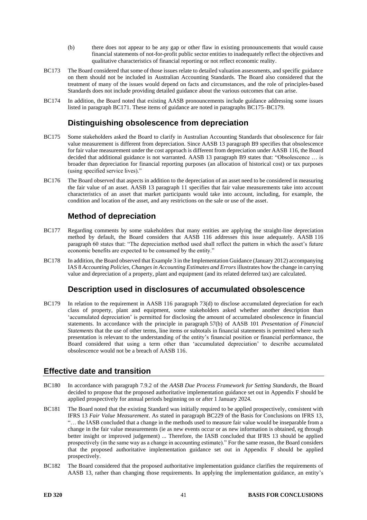- (b) there does not appear to be any gap or other flaw in existing pronouncements that would cause financial statements of not-for-profit public sector entities to inadequately reflect the objectives and qualitative characteristics of financial reporting or not reflect economic reality.
- BC173 The Board considered that some of those issues relate to detailed valuation assessments, and specific guidance on them should not be included in Australian Accounting Standards. The Board also considered that the treatment of many of the issues would depend on facts and circumstances, and the role of principles-based Standards does not include providing detailed guidance about the various outcomes that can arise.
- BC174 In addition, the Board noted that existing AASB pronouncements include guidance addressing some issues listed in paragraph [BC171.](#page-39-4) These items of guidance are noted in paragraphs [BC175](#page-40-0)[–BC179.](#page-40-1)

### **Distinguishing obsolescence from depreciation**

- <span id="page-40-0"></span>BC175 Some stakeholders asked the Board to clarify in Australian Accounting Standards that obsolescence for fair value measurement is different from depreciation. Since AASB 13 paragraph B9 specifies that obsolescence for fair value measurement under the cost approach is different from depreciation under AASB 116, the Board decided that additional guidance is not warranted. AASB 13 paragraph B9 states that: "Obsolescence … is broader than depreciation for financial reporting purposes (an allocation of historical cost) or tax purposes (using specified service lives)."
- BC176 The Board observed that aspects in addition to the depreciation of an asset need to be considered in measuring the fair value of an asset. AASB 13 paragraph 11 specifies that fair value measurements take into account characteristics of an asset that market participants would take into account, including, for example, the condition and location of the asset, and any restrictions on the sale or use of the asset.

# **Method of depreciation**

- BC177 Regarding comments by some stakeholders that many entities are applying the straight-line depreciation method by default, the Board considers that AASB 116 addresses this issue adequately. AASB 116 paragraph 60 states that: "The depreciation method used shall reflect the pattern in which the asset's future economic benefits are expected to be consumed by the entity."
- BC178 In addition, the Board observed that Example 3 in the Implementation Guidance (January 2012) accompanying IAS 8 *Accounting Policies, Changes in Accounting Estimates and Errors* illustrates how the change in carrying value and depreciation of a property, plant and equipment (and its related deferred tax) are calculated.

### **Description used in disclosures of accumulated obsolescence**

<span id="page-40-1"></span>BC179 In relation to the requirement in AASB 116 paragraph 73(d) to disclose accumulated depreciation for each class of property, plant and equipment, some stakeholders asked whether another description than 'accumulated depreciation' is permitted for disclosing the amount of accumulated obsolescence in financial statements. In accordance with the principle in paragraph 57(b) of AASB 101 *Presentation of Financial Statements* that the use of other terms, line items or subtotals in financial statements is permitted where such presentation is relevant to the understanding of the entity's financial position or financial performance, the Board considered that using a term other than 'accumulated depreciation' to describe accumulated obsolescence would not be a breach of AASB 116.

### **Effective date and transition**

- BC180 In accordance with paragraph 7.9.2 of the *AASB Due Process Framework for Setting Standards*, the Board decided to propose that the proposed authoritative implementation guidance set out in Appendix F should be applied prospectively for annual periods beginning on or after 1 January 2024.
- BC181 The Board noted that the existing Standard was initially required to be applied prospectively, consistent with IFRS 13 *Fair Value Measurement*. As stated in paragraph BC229 of the Basis for Conclusions on IFRS 13, "… the IASB concluded that a change in the methods used to measure fair value would be inseparable from a change in the fair value measurements (ie as new events occur or as new information is obtained, eg through better insight or improved judgement) ... Therefore, the IASB concluded that IFRS 13 should be applied prospectively (in the same way as a change in accounting estimate)." For the same reason, the Board considers that the proposed authoritative implementation guidance set out in Appendix F should be applied prospectively.
- BC182 The Board considered that the proposed authoritative implementation guidance clarifies the requirements of AASB 13, rather than changing those requirements. In applying the implementation guidance, an entity's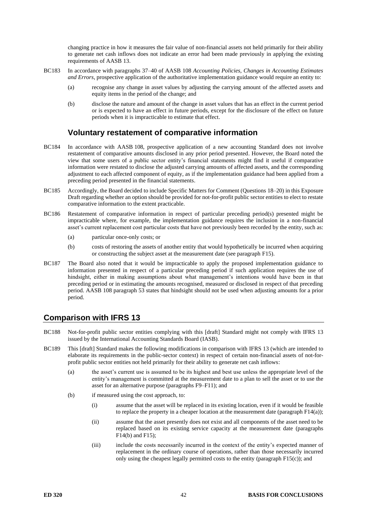changing practice in how it measures the fair value of non-financial assets not held primarily for their ability to generate net cash inflows does not indicate an error had been made previously in applying the existing requirements of AASB 13.

- BC183 In accordance with paragraphs 37–40 of AASB 108 *Accounting Policies, Changes in Accounting Estimates and Errors*, prospective application of the authoritative implementation guidance would require an entity to:
	- (a) recognise any change in asset values by adjusting the carrying amount of the affected assets and equity items in the period of the change; and
	- (b) disclose the nature and amount of the change in asset values that has an effect in the current period or is expected to have an effect in future periods, except for the disclosure of the effect on future periods when it is impracticable to estimate that effect.

### **Voluntary restatement of comparative information**

- BC184 In accordance with AASB 108, prospective application of a new accounting Standard does not involve restatement of comparative amounts disclosed in any prior period presented. However, the Board noted the view that some users of a public sector entity's financial statements might find it useful if comparative information were restated to disclose the adjusted carrying amounts of affected assets, and the corresponding adjustment to each affected component of equity, as if the implementation guidance had been applied from a preceding period presented in the financial statements.
- BC185 Accordingly, the Board decided to include Specific Matters for Comment (Questions [18–](#page-5-2)[20\)](#page-5-4) in this Exposure Draft regarding whether an option should be provided for not-for-profit public sector entities to elect to restate comparative information to the extent practicable.
- BC186 Restatement of comparative information in respect of particular preceding period(s) presented might be impracticable where, for example, the implementation guidance requires the inclusion in a non-financial asset's current replacement cost particular costs that have not previously been recorded by the entity, such as:
	- (a) particular once-only costs; or
	- (b) costs of restoring the assets of another entity that would hypothetically be incurred when acquiring or constructing the subject asset at the measurement date (see paragraph [F15\)](#page-12-0).
- BC187 The Board also noted that it would be impracticable to apply the proposed implementation guidance to information presented in respect of a particular preceding period if such application requires the use of hindsight, either in making assumptions about what management's intentions would have been in that preceding period or in estimating the amounts recognised, measured or disclosed in respect of that preceding period. AASB 108 paragraph 53 states that hindsight should not be used when adjusting amounts for a prior period.

### **Comparison with IFRS 13**

- BC188 Not-for-profit public sector entities complying with this [draft] Standard might not comply with IFRS 13 issued by the International Accounting Standards Board (IASB).
- <span id="page-41-0"></span>BC189 This [draft] Standard makes the following modifications in comparison with IFRS 13 (which are intended to elaborate its requirements in the public-sector context) in respect of certain non-financial assets of not-forprofit public sector entities not held primarily for their ability to generate net cash inflows:
	- (a) the asset's current use is assumed to be its highest and best use unless the appropriate level of the entity's management is committed at the measurement date to a plan to sell the asset or to use the asset for an alternative purpose (paragraphs [F9](#page-11-1)[–F11\)](#page-11-2); and
	- (b) if measured using the cost approach, to:
		- (i) assume that the asset will be replaced in its existing location, even if it would be feasible to replace the property in a cheaper location at the measurement date (paragrap[h F14\(](#page-11-6)a));
		- (ii) assume that the asset presently does not exist and all components of the asset need to be replaced based on its existing service capacity at the measurement date (paragraphs [F14\(](#page-11-6)b) an[d F15\)](#page-12-0);
		- (iii) include the costs necessarily incurred in the context of the entity's expected manner of replacement in the ordinary course of operations, rather than those necessarily incurred only using the cheapest legally permitted costs to the entity (paragraph [F15\(](#page-12-0)c)); and